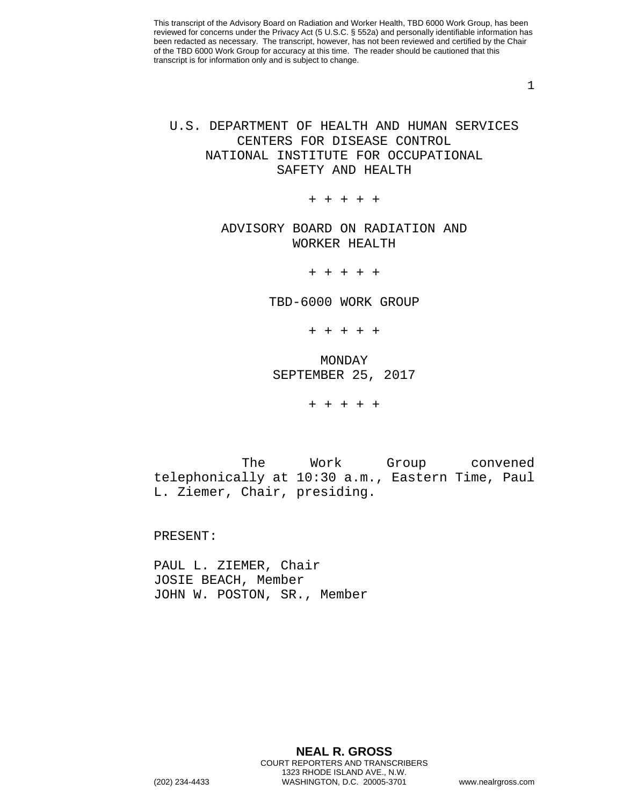1

# U.S. DEPARTMENT OF HEALTH AND HUMAN SERVICES CENTERS FOR DISEASE CONTROL NATIONAL INSTITUTE FOR OCCUPATIONAL SAFETY AND HEALTH

+ + + + +

## ADVISORY BOARD ON RADIATION AND WORKER HEALTH

+ + + + +

TBD-6000 WORK GROUP

+ + + + +

MONDAY SEPTEMBER 25, 2017

+ + + + +

The Work Group convened telephonically at 10:30 a.m., Eastern Time, Paul L. Ziemer, Chair, presiding.

PRESENT:

PAUL L. ZIEMER, Chair JOSIE BEACH, Member JOHN W. POSTON, SR., Member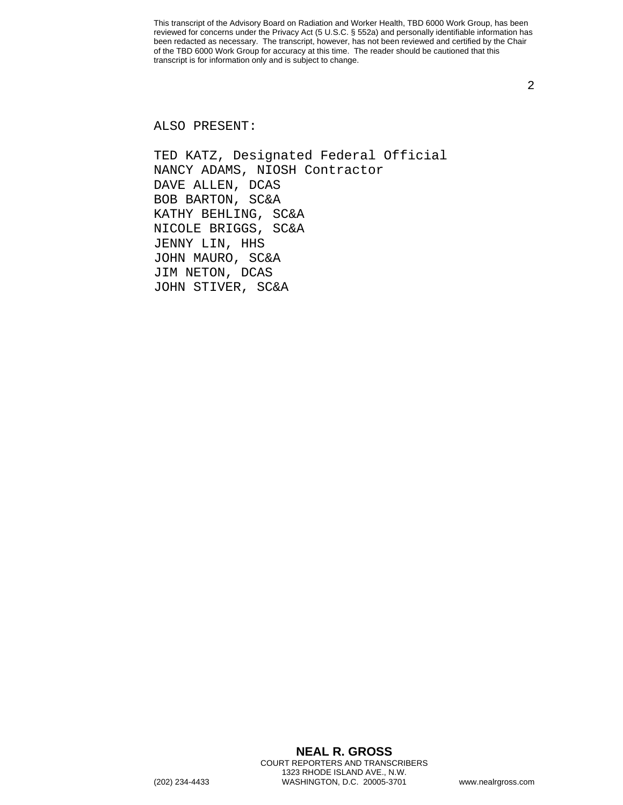2

ALSO PRESENT:

TED KATZ, Designated Federal Official NANCY ADAMS, NIOSH Contractor DAVE ALLEN, DCAS BOB BARTON, SC&A KATHY BEHLING, SC&A NICOLE BRIGGS, SC&A JENNY LIN, HHS JOHN MAURO, SC&A JIM NETON, DCAS JOHN STIVER, SC&A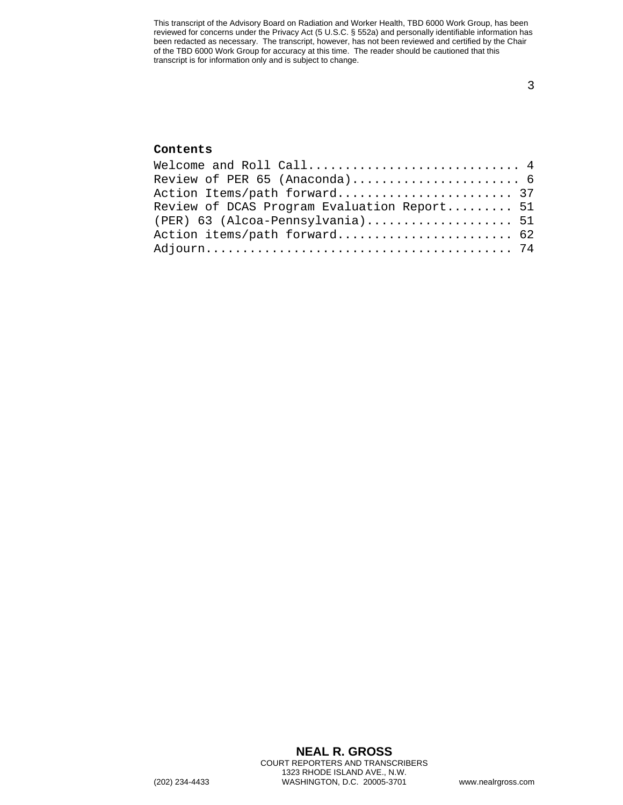#### **Contents**

| Welcome and Roll Call $4$                   |  |
|---------------------------------------------|--|
| Review of PER 65 (Anaconda) 6               |  |
| Action Items/path forward 37                |  |
| Review of DCAS Program Evaluation Report 51 |  |
| $(PER)$ 63 (Alcoa-Pennsylvania) 51          |  |
| Action items/path forward 62                |  |
|                                             |  |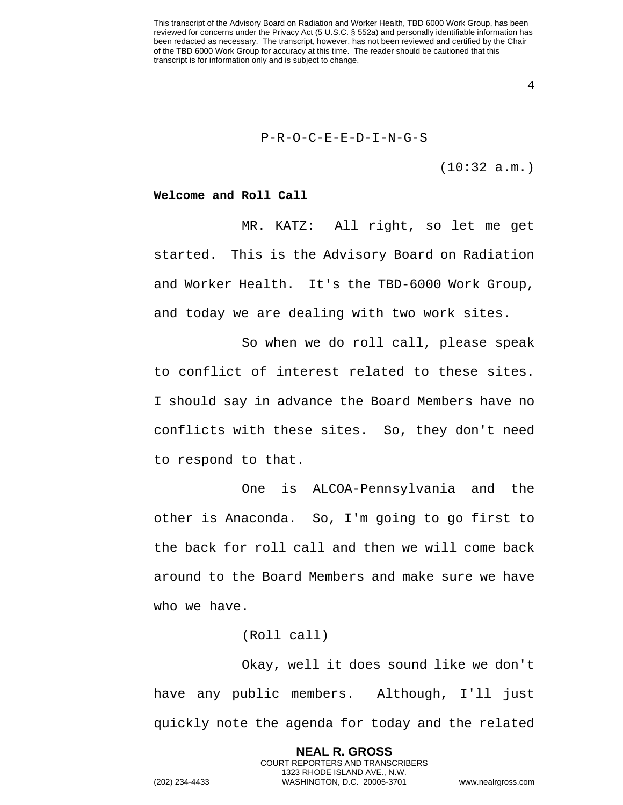4

#### P-R-O-C-E-E-D-I-N-G-S

(10:32 a.m.)

#### <span id="page-3-0"></span>**Welcome and Roll Call**

MR. KATZ: All right, so let me get started. This is the Advisory Board on Radiation and Worker Health. It's the TBD-6000 Work Group, and today we are dealing with two work sites.

So when we do roll call, please speak to conflict of interest related to these sites. I should say in advance the Board Members have no conflicts with these sites. So, they don't need to respond to that.

One is ALCOA-Pennsylvania and the other is Anaconda. So, I'm going to go first to the back for roll call and then we will come back around to the Board Members and make sure we have who we have.

#### (Roll call)

Okay, well it does sound like we don't have any public members. Although, I'll just quickly note the agenda for today and the related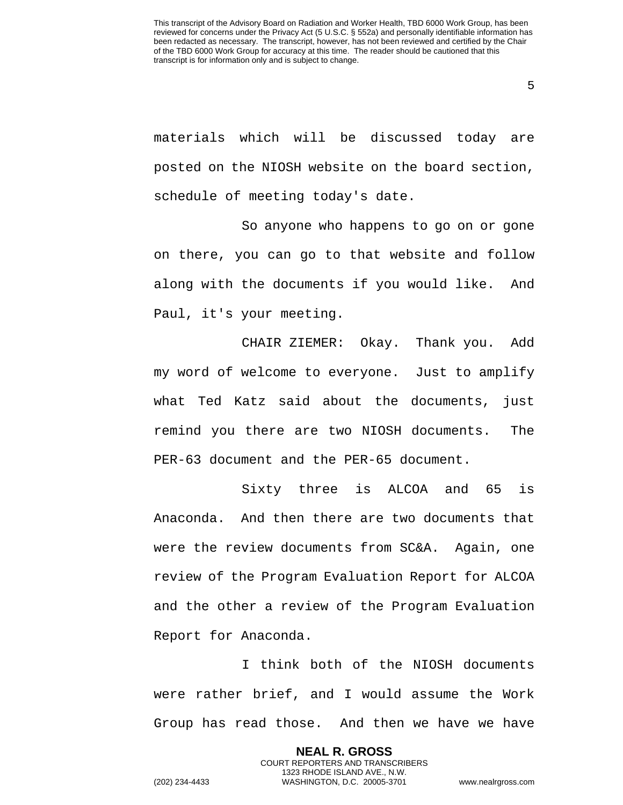5

materials which will be discussed today are posted on the NIOSH website on the board section, schedule of meeting today's date.

So anyone who happens to go on or gone on there, you can go to that website and follow along with the documents if you would like. And Paul, it's your meeting.

CHAIR ZIEMER: Okay. Thank you. Add my word of welcome to everyone. Just to amplify what Ted Katz said about the documents, just remind you there are two NIOSH documents. The PER-63 document and the PER-65 document.

Sixty three is ALCOA and 65 is Anaconda. And then there are two documents that were the review documents from SC&A. Again, one review of the Program Evaluation Report for ALCOA and the other a review of the Program Evaluation Report for Anaconda.

I think both of the NIOSH documents were rather brief, and I would assume the Work Group has read those. And then we have we have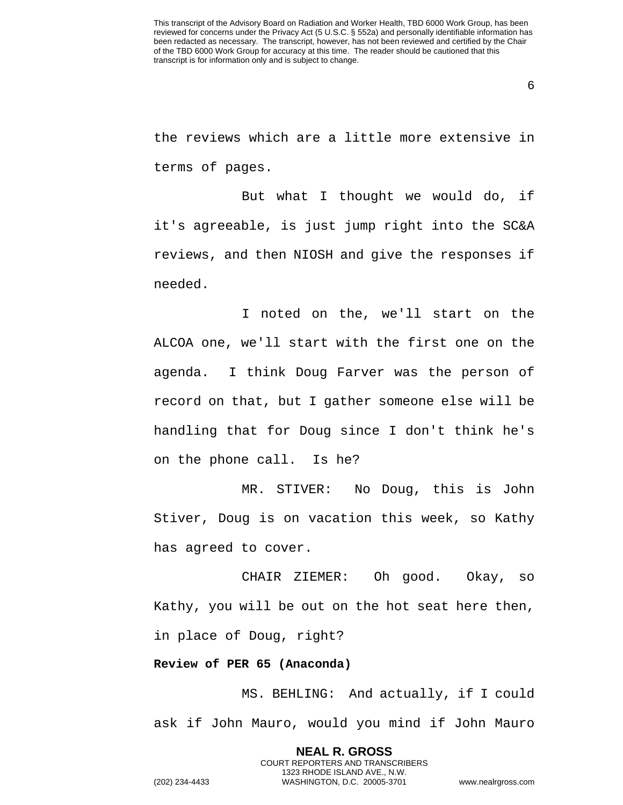6

the reviews which are a little more extensive in terms of pages.

But what I thought we would do, if it's agreeable, is just jump right into the SC&A reviews, and then NIOSH and give the responses if needed.

I noted on the, we'll start on the ALCOA one, we'll start with the first one on the agenda. I think Doug Farver was the person of record on that, but I gather someone else will be handling that for Doug since I don't think he's on the phone call. Is he?

MR. STIVER: No Doug, this is John Stiver, Doug is on vacation this week, so Kathy has agreed to cover.

CHAIR ZIEMER: Oh good. Okay, so Kathy, you will be out on the hot seat here then, in place of Doug, right?

<span id="page-5-0"></span>**Review of PER 65 (Anaconda)** 

MS. BEHLING: And actually, if I could ask if John Mauro, would you mind if John Mauro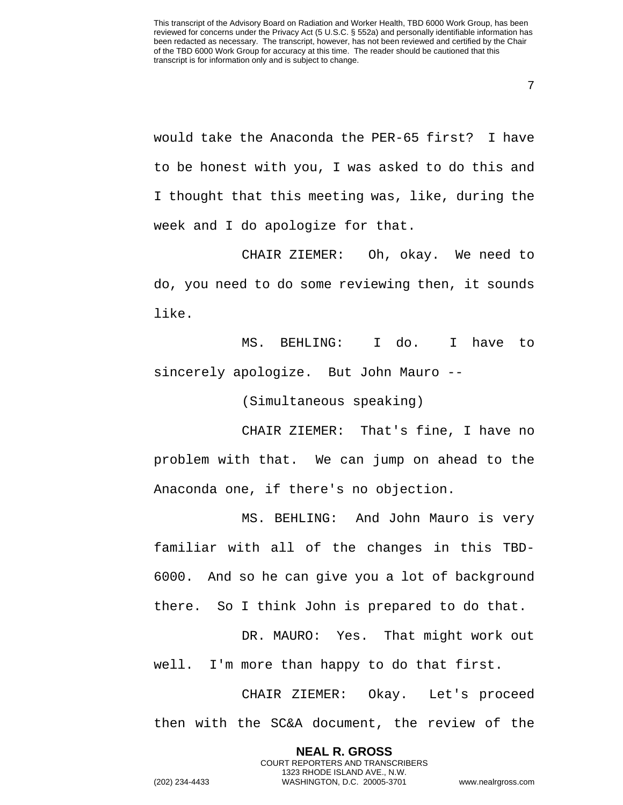7

would take the Anaconda the PER-65 first? I have to be honest with you, I was asked to do this and I thought that this meeting was, like, during the week and I do apologize for that.

CHAIR ZIEMER: Oh, okay. We need to do, you need to do some reviewing then, it sounds like.

MS. BEHLING: I do. I have to sincerely apologize. But John Mauro --

(Simultaneous speaking)

CHAIR ZIEMER: That's fine, I have no problem with that. We can jump on ahead to the Anaconda one, if there's no objection.

MS. BEHLING: And John Mauro is very familiar with all of the changes in this TBD-6000. And so he can give you a lot of background there. So I think John is prepared to do that.

DR. MAURO: Yes. That might work out well. I'm more than happy to do that first.

CHAIR ZIEMER: Okay. Let's proceed then with the SC&A document, the review of the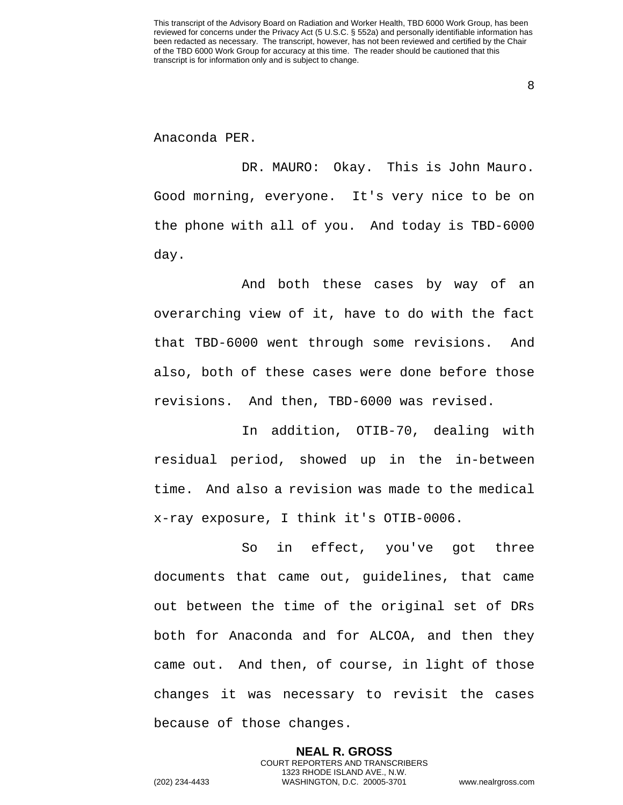8

Anaconda PER.

DR. MAURO: Okay. This is John Mauro. Good morning, everyone. It's very nice to be on the phone with all of you. And today is TBD-6000 day.

And both these cases by way of an overarching view of it, have to do with the fact that TBD-6000 went through some revisions. And also, both of these cases were done before those revisions. And then, TBD-6000 was revised.

In addition, OTIB-70, dealing with residual period, showed up in the in-between time. And also a revision was made to the medical x-ray exposure, I think it's OTIB-0006.

So in effect, you've got three documents that came out, guidelines, that came out between the time of the original set of DRs both for Anaconda and for ALCOA, and then they came out. And then, of course, in light of those changes it was necessary to revisit the cases because of those changes.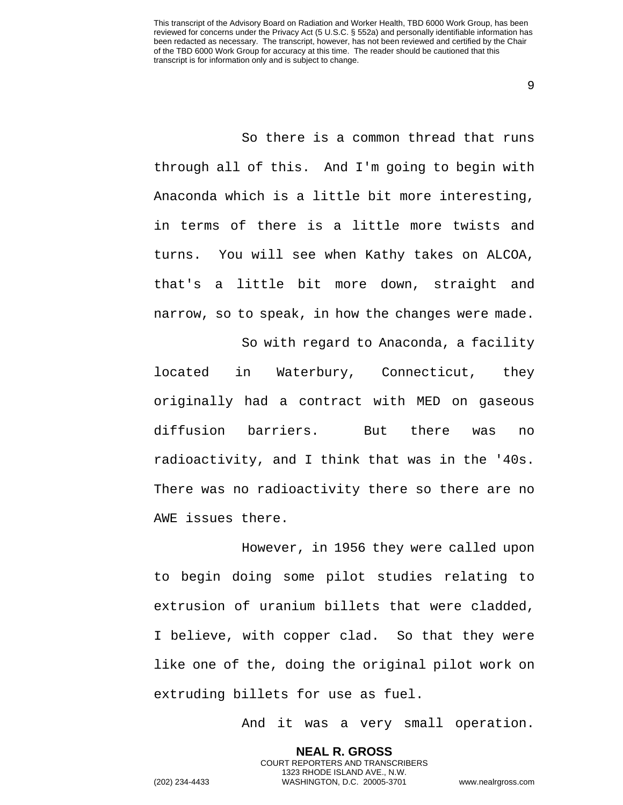9

So there is a common thread that runs through all of this. And I'm going to begin with Anaconda which is a little bit more interesting, in terms of there is a little more twists and turns. You will see when Kathy takes on ALCOA, that's a little bit more down, straight and narrow, so to speak, in how the changes were made.

So with regard to Anaconda, a facility located in Waterbury, Connecticut, they originally had a contract with MED on gaseous diffusion barriers. But there was no radioactivity, and I think that was in the '40s. There was no radioactivity there so there are no AWE issues there.

However, in 1956 they were called upon to begin doing some pilot studies relating to extrusion of uranium billets that were cladded, I believe, with copper clad. So that they were like one of the, doing the original pilot work on extruding billets for use as fuel.

> **NEAL R. GROSS** COURT REPORTERS AND TRANSCRIBERS 1323 RHODE ISLAND AVE., N.W.

And it was a very small operation.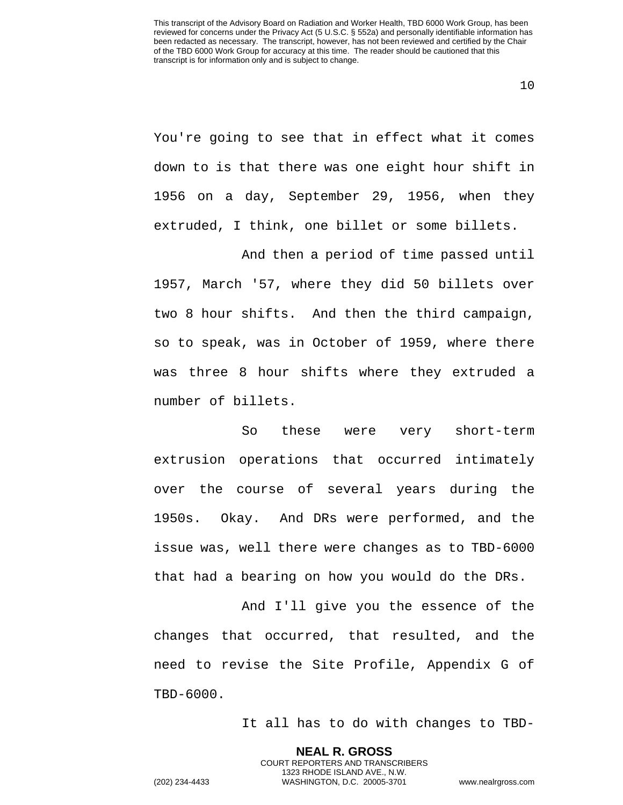You're going to see that in effect what it comes down to is that there was one eight hour shift in 1956 on a day, September 29, 1956, when they extruded, I think, one billet or some billets.

And then a period of time passed until 1957, March '57, where they did 50 billets over two 8 hour shifts. And then the third campaign, so to speak, was in October of 1959, where there was three 8 hour shifts where they extruded a number of billets.

So these were very short-term extrusion operations that occurred intimately over the course of several years during the 1950s. Okay. And DRs were performed, and the issue was, well there were changes as to TBD-6000 that had a bearing on how you would do the DRs.

And I'll give you the essence of the changes that occurred, that resulted, and the need to revise the Site Profile, Appendix G of TBD-6000.

> **NEAL R. GROSS** COURT REPORTERS AND TRANSCRIBERS 1323 RHODE ISLAND AVE., N.W.

It all has to do with changes to TBD-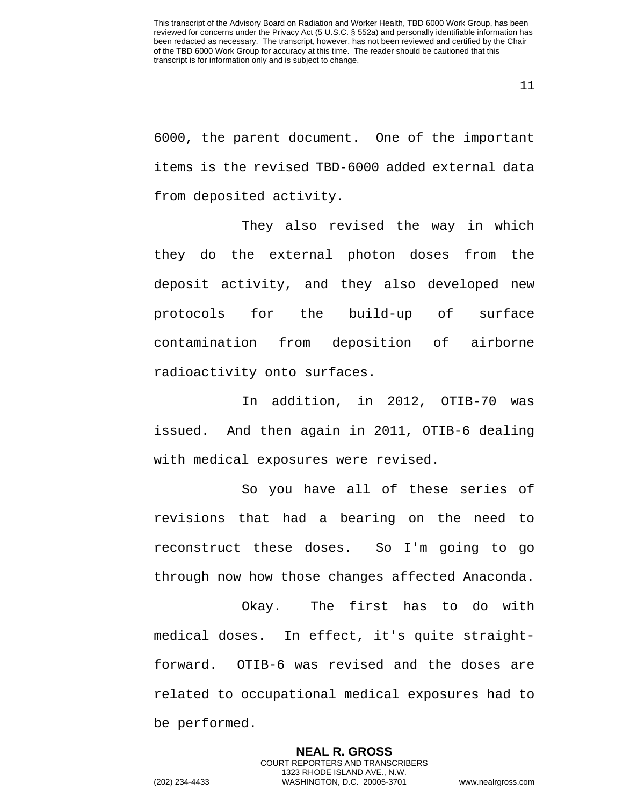6000, the parent document. One of the important items is the revised TBD-6000 added external data from deposited activity.

They also revised the way in which they do the external photon doses from the deposit activity, and they also developed new protocols for the build-up of surface contamination from deposition of airborne radioactivity onto surfaces.

In addition, in 2012, OTIB-70 was issued. And then again in 2011, OTIB-6 dealing with medical exposures were revised.

So you have all of these series of revisions that had a bearing on the need to reconstruct these doses. So I'm going to go through now how those changes affected Anaconda.

Okay. The first has to do with medical doses. In effect, it's quite straightforward. OTIB-6 was revised and the doses are related to occupational medical exposures had to be performed.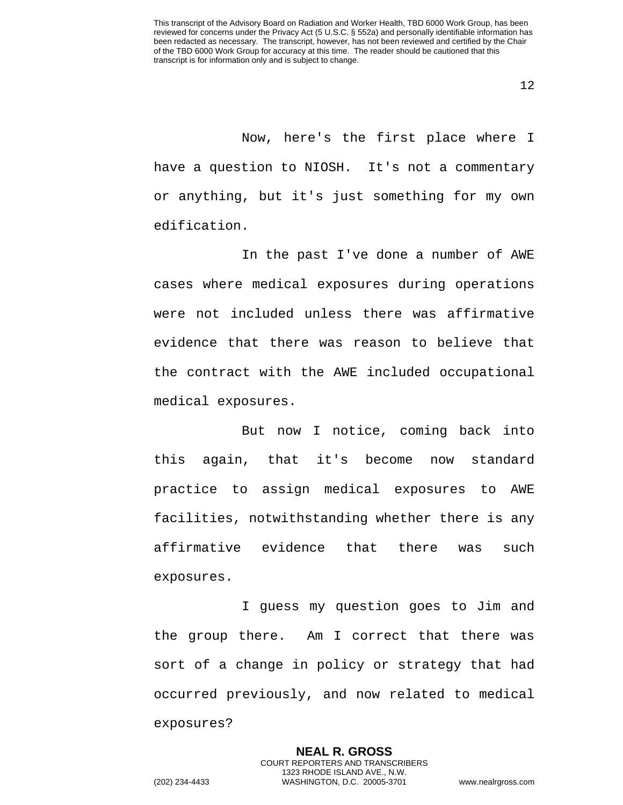Now, here's the first place where I have a question to NIOSH. It's not a commentary or anything, but it's just something for my own edification.

In the past I've done a number of AWE cases where medical exposures during operations were not included unless there was affirmative evidence that there was reason to believe that the contract with the AWE included occupational medical exposures.

But now I notice, coming back into this again, that it's become now standard practice to assign medical exposures to AWE facilities, notwithstanding whether there is any affirmative evidence that there was such exposures.

I guess my question goes to Jim and the group there. Am I correct that there was sort of a change in policy or strategy that had occurred previously, and now related to medical exposures?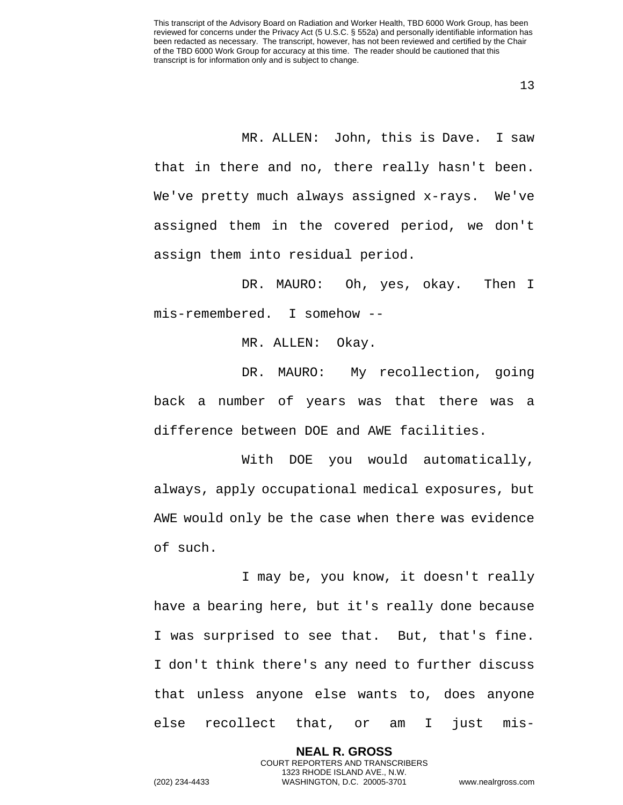MR. ALLEN: John, this is Dave. I saw that in there and no, there really hasn't been. We've pretty much always assigned x-rays. We've assigned them in the covered period, we don't assign them into residual period.

DR. MAURO: Oh, yes, okay. Then I mis-remembered. I somehow --

MR. ALLEN: Okay.

DR. MAURO: My recollection, going back a number of years was that there was a difference between DOE and AWE facilities.

With DOE you would automatically, always, apply occupational medical exposures, but AWE would only be the case when there was evidence of such.

I may be, you know, it doesn't really have a bearing here, but it's really done because I was surprised to see that. But, that's fine. I don't think there's any need to further discuss that unless anyone else wants to, does anyone else recollect that, or am I just mis-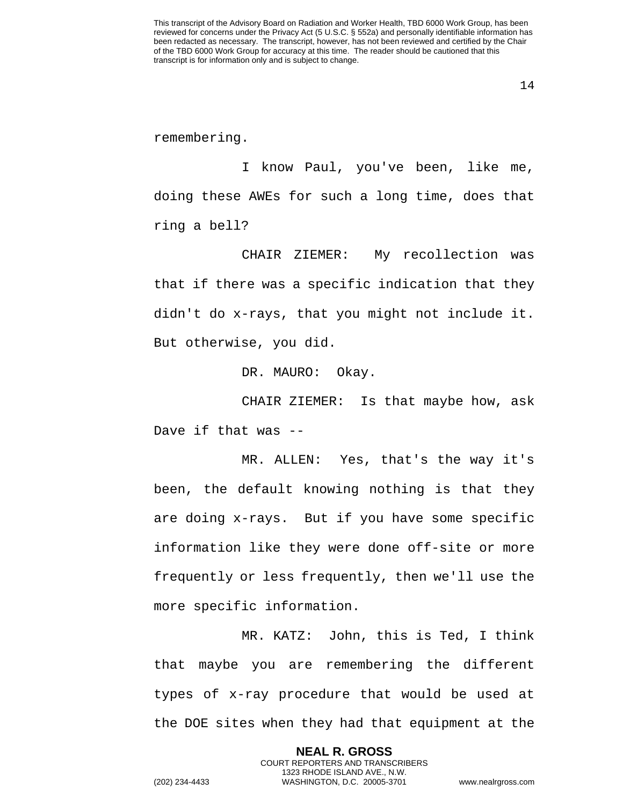remembering.

I know Paul, you've been, like me, doing these AWEs for such a long time, does that ring a bell?

CHAIR ZIEMER: My recollection was that if there was a specific indication that they didn't do x-rays, that you might not include it. But otherwise, you did.

DR. MAURO: Okay.

CHAIR ZIEMER: Is that maybe how, ask Dave if that was --

MR. ALLEN: Yes, that's the way it's been, the default knowing nothing is that they are doing x-rays. But if you have some specific information like they were done off-site or more frequently or less frequently, then we'll use the more specific information.

MR. KATZ: John, this is Ted, I think that maybe you are remembering the different types of x-ray procedure that would be used at the DOE sites when they had that equipment at the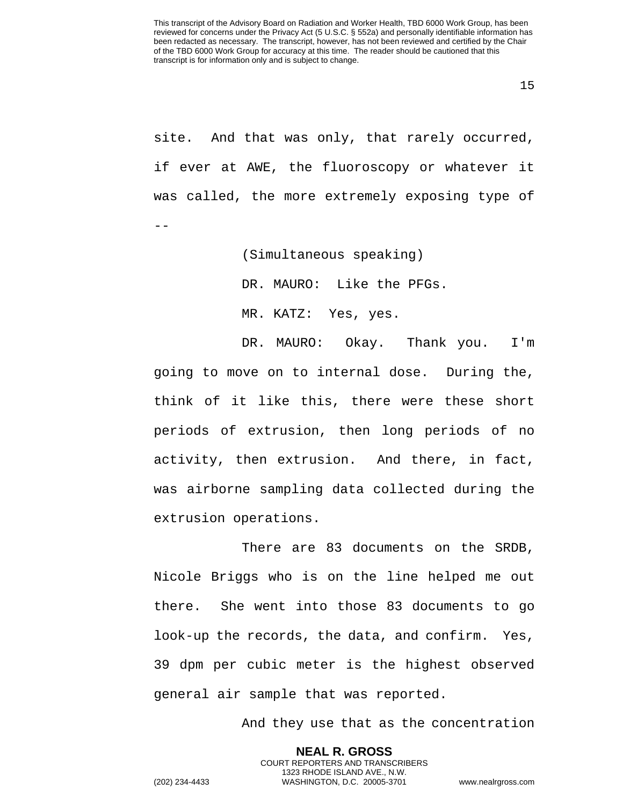site. And that was only, that rarely occurred, if ever at AWE, the fluoroscopy or whatever it was called, the more extremely exposing type of --

(Simultaneous speaking)

DR. MAURO: Like the PFGs.

MR. KATZ: Yes, yes.

DR. MAURO: Okay. Thank you. I'm going to move on to internal dose. During the, think of it like this, there were these short periods of extrusion, then long periods of no activity, then extrusion. And there, in fact, was airborne sampling data collected during the extrusion operations.

There are 83 documents on the SRDB, Nicole Briggs who is on the line helped me out there. She went into those 83 documents to go look-up the records, the data, and confirm. Yes, 39 dpm per cubic meter is the highest observed general air sample that was reported.

> **NEAL R. GROSS** COURT REPORTERS AND TRANSCRIBERS 1323 RHODE ISLAND AVE., N.W.

And they use that as the concentration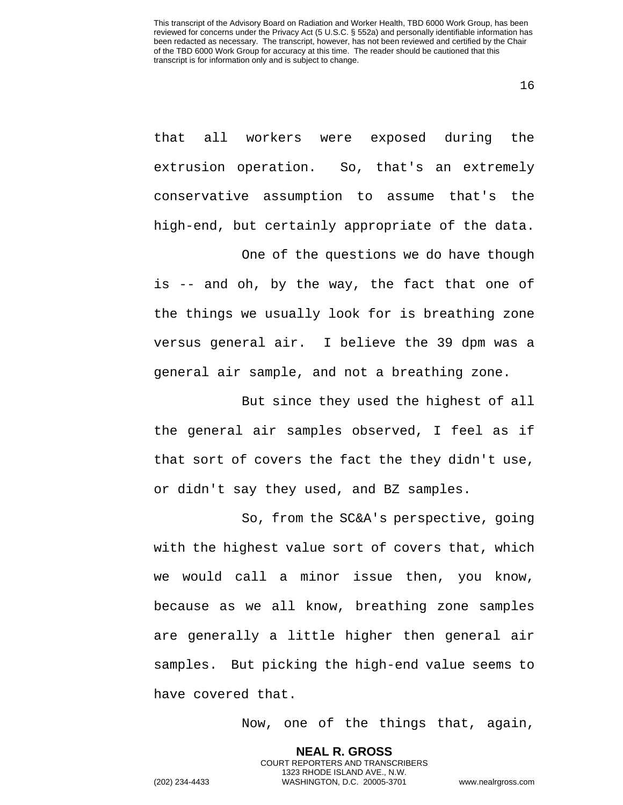16

that all workers were exposed during the extrusion operation. So, that's an extremely conservative assumption to assume that's the high-end, but certainly appropriate of the data.

One of the questions we do have though is -- and oh, by the way, the fact that one of the things we usually look for is breathing zone versus general air. I believe the 39 dpm was a general air sample, and not a breathing zone.

But since they used the highest of all the general air samples observed, I feel as if that sort of covers the fact the they didn't use, or didn't say they used, and BZ samples.

So, from the SC&A's perspective, going with the highest value sort of covers that, which we would call a minor issue then, you know, because as we all know, breathing zone samples are generally a little higher then general air samples. But picking the high-end value seems to have covered that.

> **NEAL R. GROSS** COURT REPORTERS AND TRANSCRIBERS 1323 RHODE ISLAND AVE., N.W.

Now, one of the things that, again,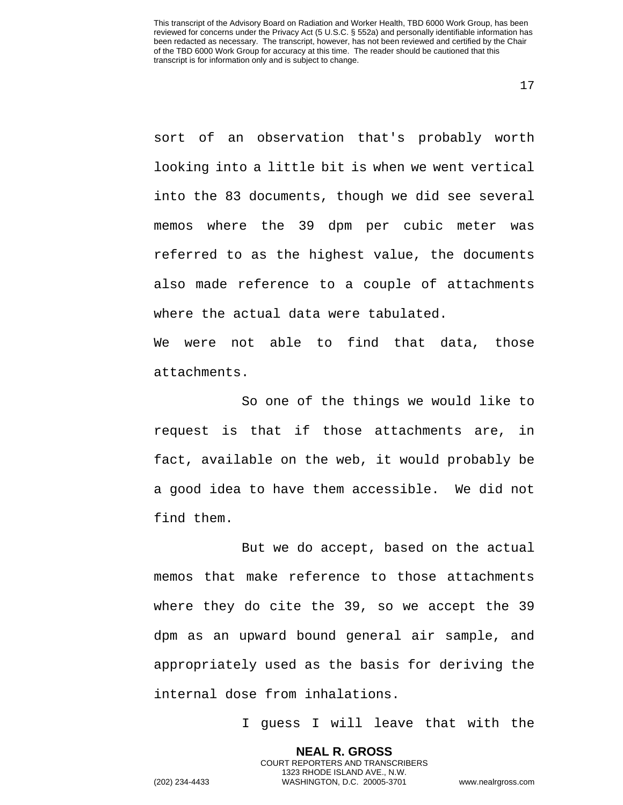sort of an observation that's probably worth looking into a little bit is when we went vertical into the 83 documents, though we did see several memos where the 39 dpm per cubic meter was referred to as the highest value, the documents also made reference to a couple of attachments where the actual data were tabulated.

We were not able to find that data, those attachments.

So one of the things we would like to request is that if those attachments are, in fact, available on the web, it would probably be a good idea to have them accessible. We did not find them.

But we do accept, based on the actual memos that make reference to those attachments where they do cite the 39, so we accept the 39 dpm as an upward bound general air sample, and appropriately used as the basis for deriving the internal dose from inhalations.

> **NEAL R. GROSS** COURT REPORTERS AND TRANSCRIBERS 1323 RHODE ISLAND AVE., N.W.

I guess I will leave that with the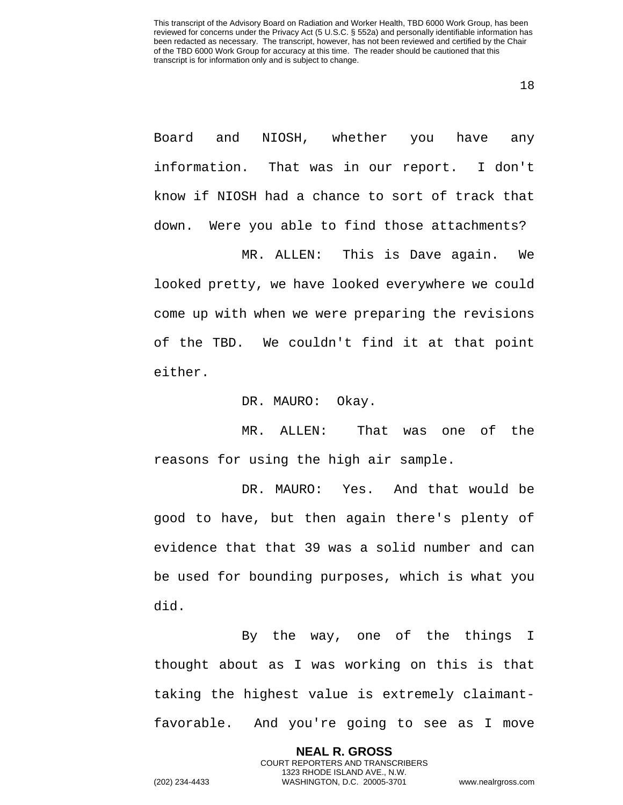18

Board and NIOSH, whether you have any information. That was in our report. I don't know if NIOSH had a chance to sort of track that down. Were you able to find those attachments?

MR. ALLEN: This is Dave again. We looked pretty, we have looked everywhere we could come up with when we were preparing the revisions of the TBD. We couldn't find it at that point either.

DR. MAURO: Okay.

MR. ALLEN: That was one of the reasons for using the high air sample.

DR. MAURO: Yes. And that would be good to have, but then again there's plenty of evidence that that 39 was a solid number and can be used for bounding purposes, which is what you did.

By the way, one of the things I thought about as I was working on this is that taking the highest value is extremely claimantfavorable. And you're going to see as I move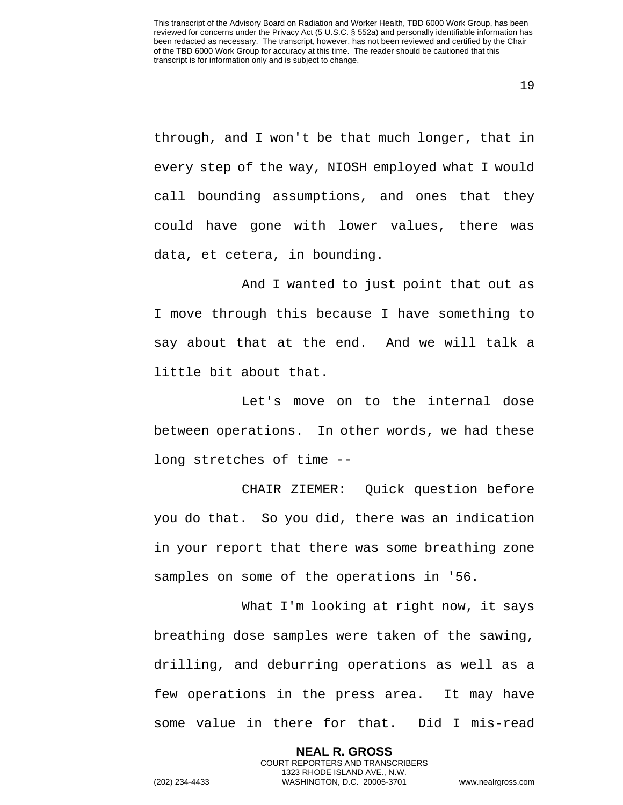through, and I won't be that much longer, that in every step of the way, NIOSH employed what I would call bounding assumptions, and ones that they could have gone with lower values, there was data, et cetera, in bounding.

And I wanted to just point that out as I move through this because I have something to say about that at the end. And we will talk a little bit about that.

Let's move on to the internal dose between operations. In other words, we had these long stretches of time --

CHAIR ZIEMER: Quick question before you do that. So you did, there was an indication in your report that there was some breathing zone samples on some of the operations in '56.

What I'm looking at right now, it says breathing dose samples were taken of the sawing, drilling, and deburring operations as well as a few operations in the press area. It may have some value in there for that. Did I mis-read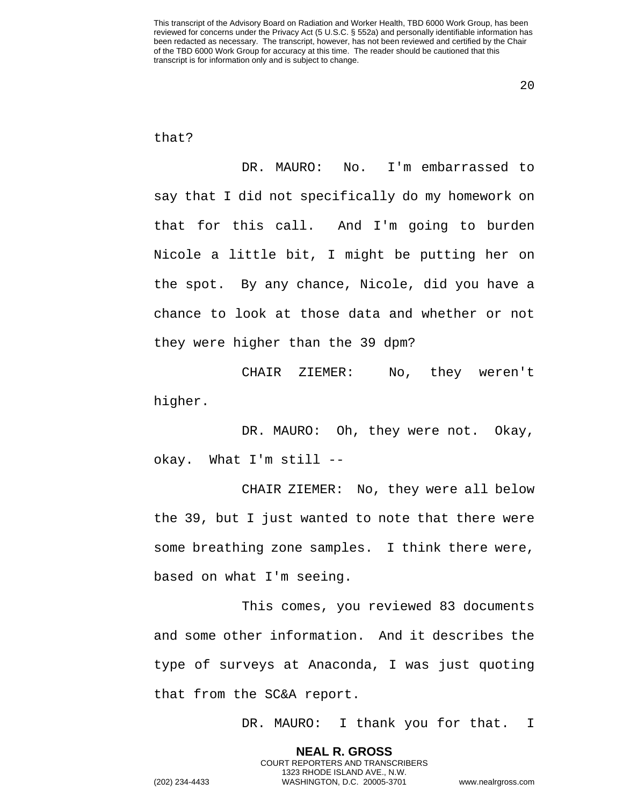20

### that?

DR. MAURO: No. I'm embarrassed to say that I did not specifically do my homework on that for this call. And I'm going to burden Nicole a little bit, I might be putting her on the spot. By any chance, Nicole, did you have a chance to look at those data and whether or not they were higher than the 39 dpm?

CHAIR ZIEMER: No, they weren't higher.

DR. MAURO: Oh, they were not. Okay, okay. What I'm still --

CHAIR ZIEMER: No, they were all below the 39, but I just wanted to note that there were some breathing zone samples. I think there were, based on what I'm seeing.

This comes, you reviewed 83 documents and some other information. And it describes the type of surveys at Anaconda, I was just quoting that from the SC&A report.

> **NEAL R. GROSS** COURT REPORTERS AND TRANSCRIBERS 1323 RHODE ISLAND AVE., N.W.

DR. MAURO: I thank you for that. I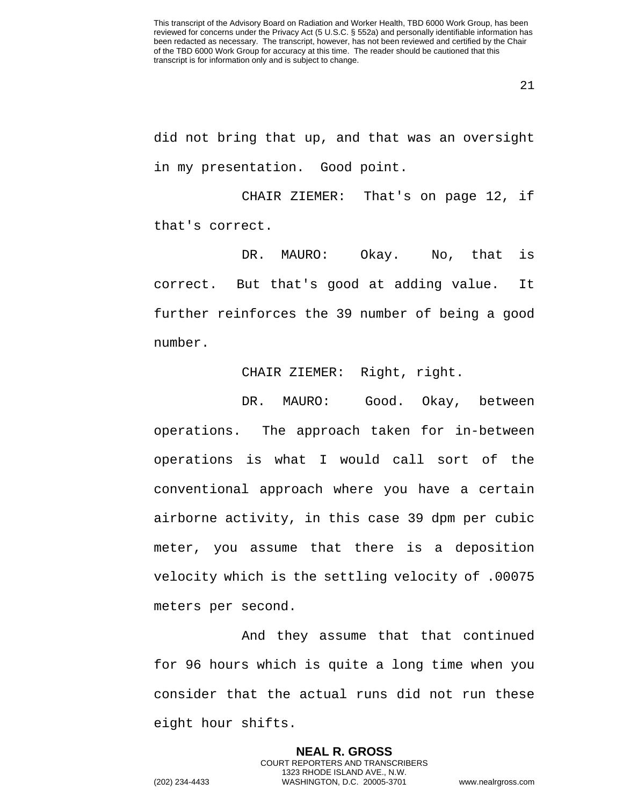did not bring that up, and that was an oversight in my presentation. Good point.

CHAIR ZIEMER: That's on page 12, if that's correct.

DR. MAURO: Okay. No, that is correct. But that's good at adding value. It further reinforces the 39 number of being a good number.

CHAIR ZIEMER: Right, right.

DR. MAURO: Good. Okay, between operations. The approach taken for in-between operations is what I would call sort of the conventional approach where you have a certain airborne activity, in this case 39 dpm per cubic meter, you assume that there is a deposition velocity which is the settling velocity of .00075 meters per second.

And they assume that that continued for 96 hours which is quite a long time when you consider that the actual runs did not run these eight hour shifts.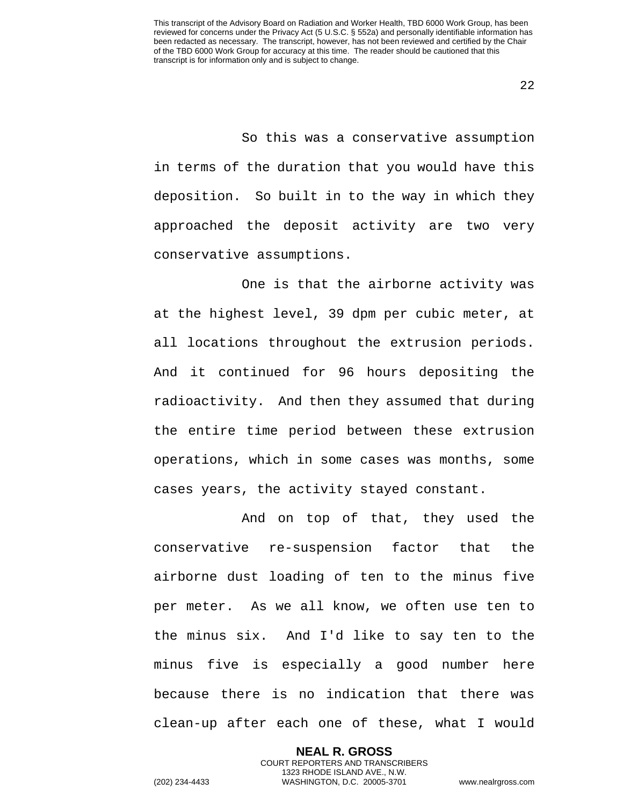So this was a conservative assumption in terms of the duration that you would have this deposition. So built in to the way in which they approached the deposit activity are two very conservative assumptions.

One is that the airborne activity was at the highest level, 39 dpm per cubic meter, at all locations throughout the extrusion periods. And it continued for 96 hours depositing the radioactivity. And then they assumed that during the entire time period between these extrusion operations, which in some cases was months, some cases years, the activity stayed constant.

And on top of that, they used the conservative re-suspension factor that the airborne dust loading of ten to the minus five per meter. As we all know, we often use ten to the minus six. And I'd like to say ten to the minus five is especially a good number here because there is no indication that there was clean-up after each one of these, what I would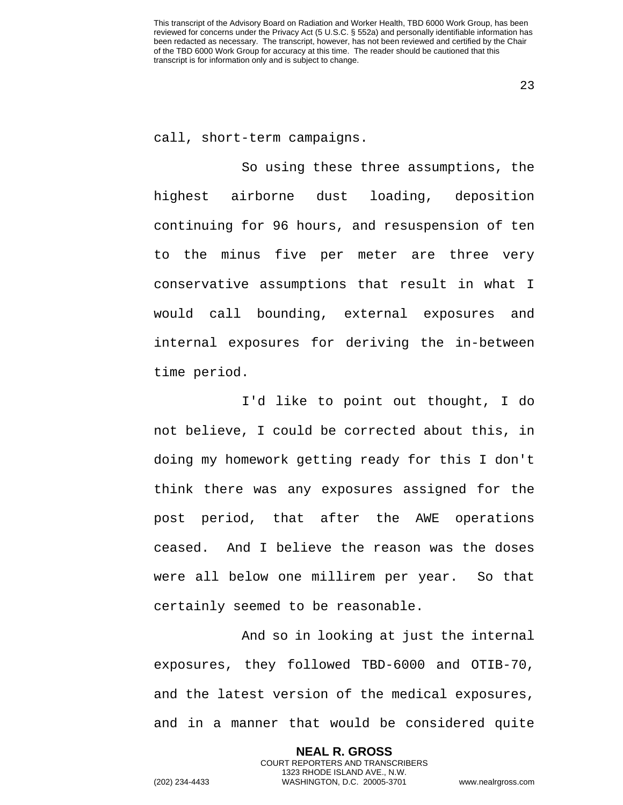23

call, short-term campaigns.

So using these three assumptions, the highest airborne dust loading, deposition continuing for 96 hours, and resuspension of ten to the minus five per meter are three very conservative assumptions that result in what I would call bounding, external exposures and internal exposures for deriving the in-between time period.

I'd like to point out thought, I do not believe, I could be corrected about this, in doing my homework getting ready for this I don't think there was any exposures assigned for the post period, that after the AWE operations ceased. And I believe the reason was the doses were all below one millirem per year. So that certainly seemed to be reasonable.

And so in looking at just the internal exposures, they followed TBD-6000 and OTIB-70, and the latest version of the medical exposures, and in a manner that would be considered quite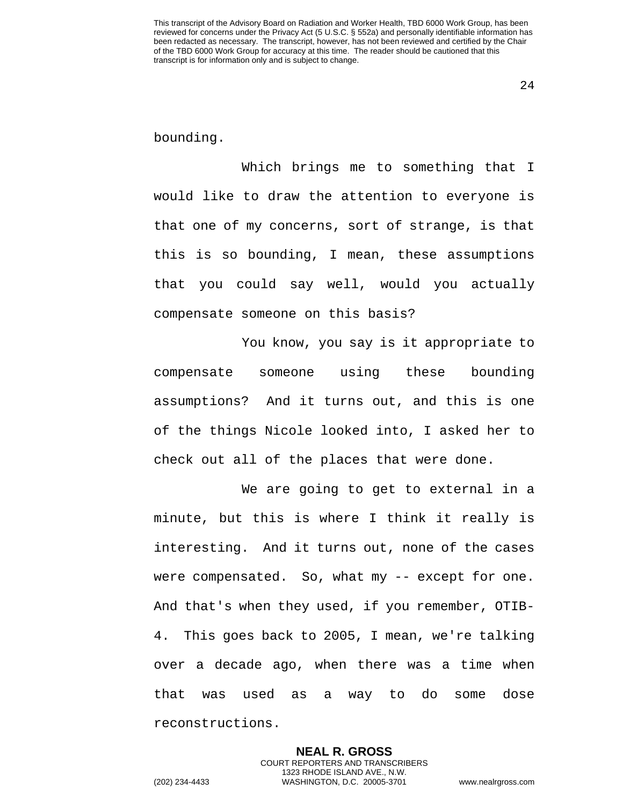24

bounding.

Which brings me to something that I would like to draw the attention to everyone is that one of my concerns, sort of strange, is that this is so bounding, I mean, these assumptions that you could say well, would you actually compensate someone on this basis?

You know, you say is it appropriate to compensate someone using these bounding assumptions? And it turns out, and this is one of the things Nicole looked into, I asked her to check out all of the places that were done.

We are going to get to external in a minute, but this is where I think it really is interesting. And it turns out, none of the cases were compensated. So, what my -- except for one. And that's when they used, if you remember, OTIB-4. This goes back to 2005, I mean, we're talking over a decade ago, when there was a time when that was used as a way to do some dose reconstructions.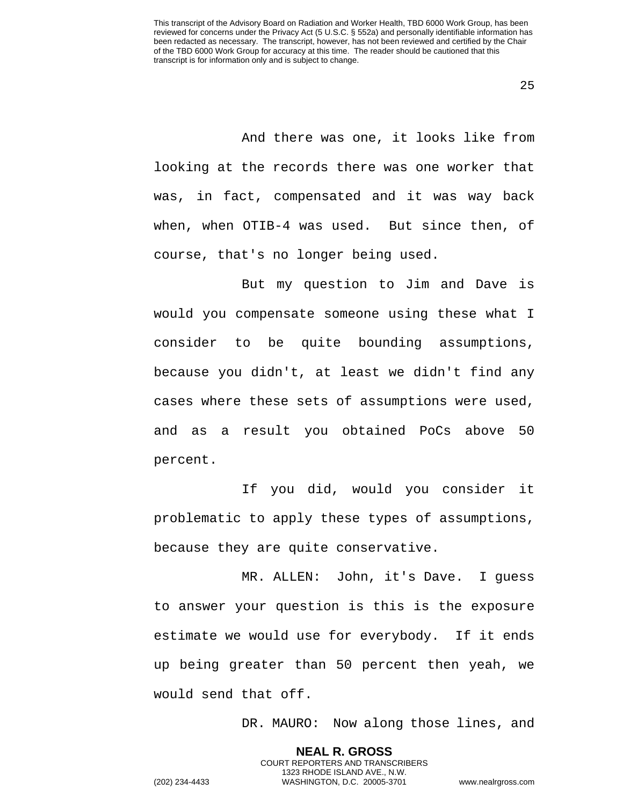And there was one, it looks like from looking at the records there was one worker that was, in fact, compensated and it was way back when, when OTIB-4 was used. But since then, of course, that's no longer being used.

But my question to Jim and Dave is would you compensate someone using these what I consider to be quite bounding assumptions, because you didn't, at least we didn't find any cases where these sets of assumptions were used, and as a result you obtained PoCs above 50 percent.

If you did, would you consider it problematic to apply these types of assumptions, because they are quite conservative.

MR. ALLEN: John, it's Dave. I guess to answer your question is this is the exposure estimate we would use for everybody. If it ends up being greater than 50 percent then yeah, we would send that off.

> **NEAL R. GROSS** COURT REPORTERS AND TRANSCRIBERS 1323 RHODE ISLAND AVE., N.W.

DR. MAURO: Now along those lines, and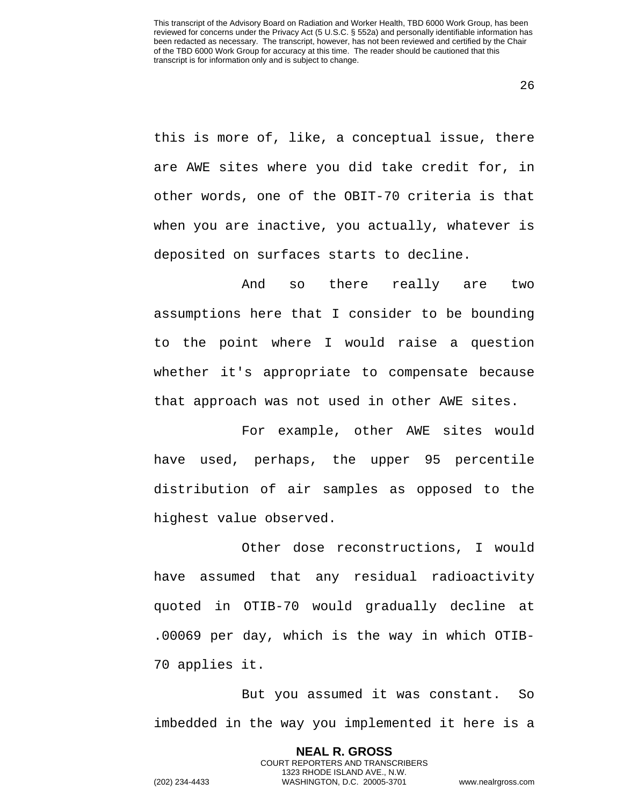this is more of, like, a conceptual issue, there are AWE sites where you did take credit for, in other words, one of the OBIT-70 criteria is that when you are inactive, you actually, whatever is deposited on surfaces starts to decline.

And so there really are two assumptions here that I consider to be bounding to the point where I would raise a question whether it's appropriate to compensate because that approach was not used in other AWE sites.

For example, other AWE sites would have used, perhaps, the upper 95 percentile distribution of air samples as opposed to the highest value observed.

Other dose reconstructions, I would have assumed that any residual radioactivity quoted in OTIB-70 would gradually decline at .00069 per day, which is the way in which OTIB-70 applies it.

But you assumed it was constant. So imbedded in the way you implemented it here is a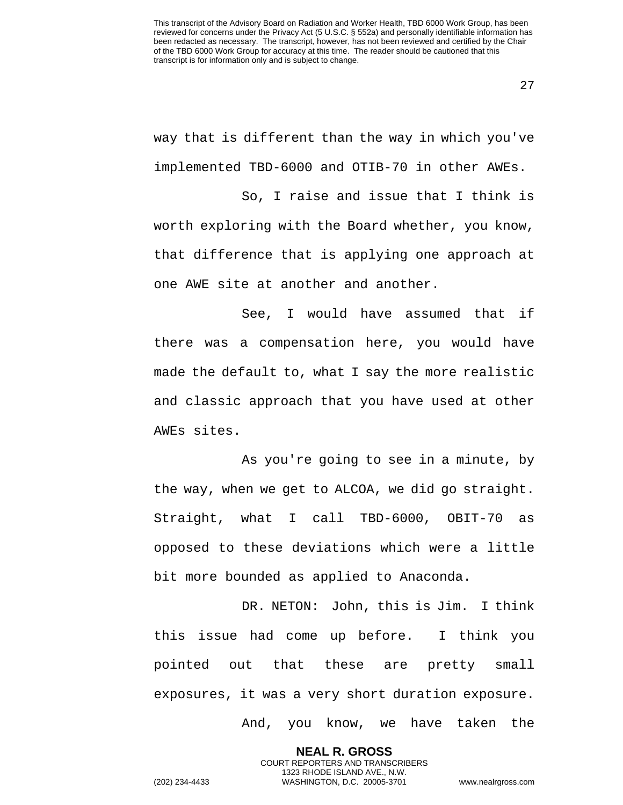27

way that is different than the way in which you've implemented TBD-6000 and OTIB-70 in other AWEs.

So, I raise and issue that I think is worth exploring with the Board whether, you know, that difference that is applying one approach at one AWE site at another and another.

See, I would have assumed that if there was a compensation here, you would have made the default to, what I say the more realistic and classic approach that you have used at other AWEs sites.

As you're going to see in a minute, by the way, when we get to ALCOA, we did go straight. Straight, what I call TBD-6000, OBIT-70 as opposed to these deviations which were a little bit more bounded as applied to Anaconda.

DR. NETON: John, this is Jim. I think this issue had come up before. I think you pointed out that these are pretty small exposures, it was a very short duration exposure.

> **NEAL R. GROSS** COURT REPORTERS AND TRANSCRIBERS 1323 RHODE ISLAND AVE., N.W.

And, you know, we have taken the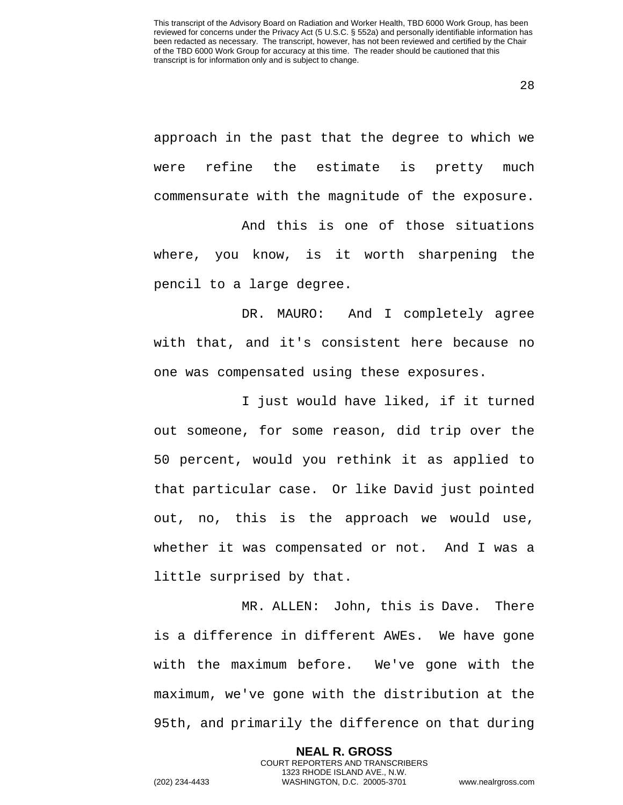approach in the past that the degree to which we were refine the estimate is pretty much commensurate with the magnitude of the exposure.

And this is one of those situations where, you know, is it worth sharpening the pencil to a large degree.

DR. MAURO: And I completely agree with that, and it's consistent here because no one was compensated using these exposures.

I just would have liked, if it turned out someone, for some reason, did trip over the 50 percent, would you rethink it as applied to that particular case. Or like David just pointed out, no, this is the approach we would use, whether it was compensated or not. And I was a little surprised by that.

MR. ALLEN: John, this is Dave. There is a difference in different AWEs. We have gone with the maximum before. We've gone with the maximum, we've gone with the distribution at the 95th, and primarily the difference on that during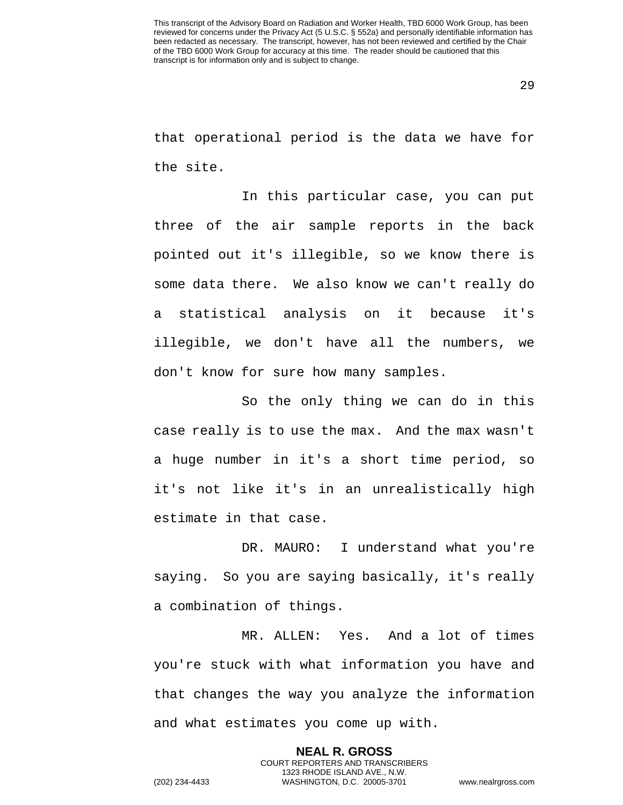that operational period is the data we have for the site.

In this particular case, you can put three of the air sample reports in the back pointed out it's illegible, so we know there is some data there. We also know we can't really do a statistical analysis on it because it's illegible, we don't have all the numbers, we don't know for sure how many samples.

So the only thing we can do in this case really is to use the max. And the max wasn't a huge number in it's a short time period, so it's not like it's in an unrealistically high estimate in that case.

DR. MAURO: I understand what you're saying. So you are saying basically, it's really a combination of things.

MR. ALLEN: Yes. And a lot of times you're stuck with what information you have and that changes the way you analyze the information and what estimates you come up with.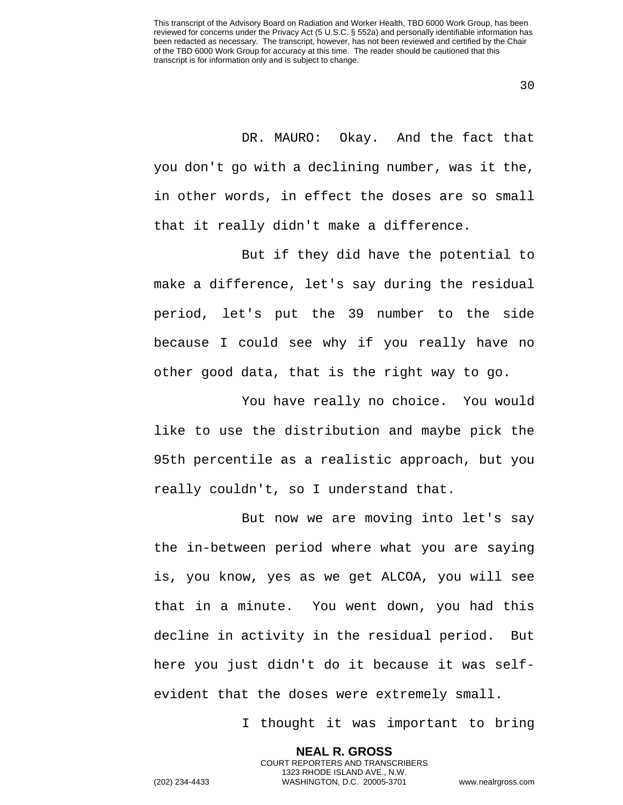DR. MAURO: Okay. And the fact that you don't go with a declining number, was it the, in other words, in effect the doses are so small that it really didn't make a difference.

But if they did have the potential to make a difference, let's say during the residual period, let's put the 39 number to the side because I could see why if you really have no other good data, that is the right way to go.

You have really no choice. You would like to use the distribution and maybe pick the 95th percentile as a realistic approach, but you really couldn't, so I understand that.

But now we are moving into let's say the in-between period where what you are saying is, you know, yes as we get ALCOA, you will see that in a minute. You went down, you had this decline in activity in the residual period. But here you just didn't do it because it was selfevident that the doses were extremely small.

> **NEAL R. GROSS** COURT REPORTERS AND TRANSCRIBERS 1323 RHODE ISLAND AVE., N.W.

I thought it was important to bring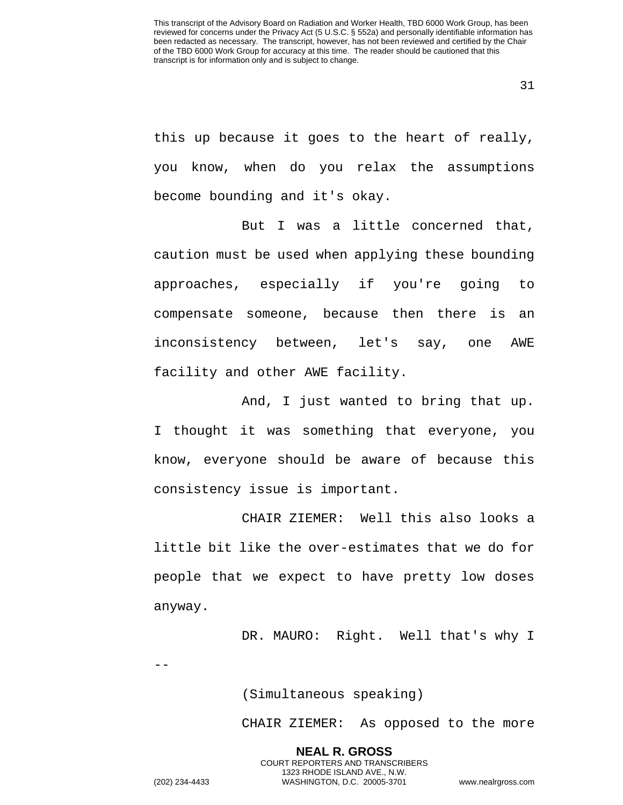this up because it goes to the heart of really, you know, when do you relax the assumptions become bounding and it's okay.

But I was a little concerned that, caution must be used when applying these bounding approaches, especially if you're going to compensate someone, because then there is an inconsistency between, let's say, one AWE facility and other AWE facility.

And, I just wanted to bring that up. I thought it was something that everyone, you know, everyone should be aware of because this consistency issue is important.

CHAIR ZIEMER: Well this also looks a little bit like the over-estimates that we do for people that we expect to have pretty low doses anyway.

DR. MAURO: Right. Well that's why I

(Simultaneous speaking)

CHAIR ZIEMER: As opposed to the more

**NEAL R. GROSS** COURT REPORTERS AND TRANSCRIBERS 1323 RHODE ISLAND AVE., N.W. (202) 234-4433 WASHINGTON, D.C. 20005-3701 www.nealrgross.com

--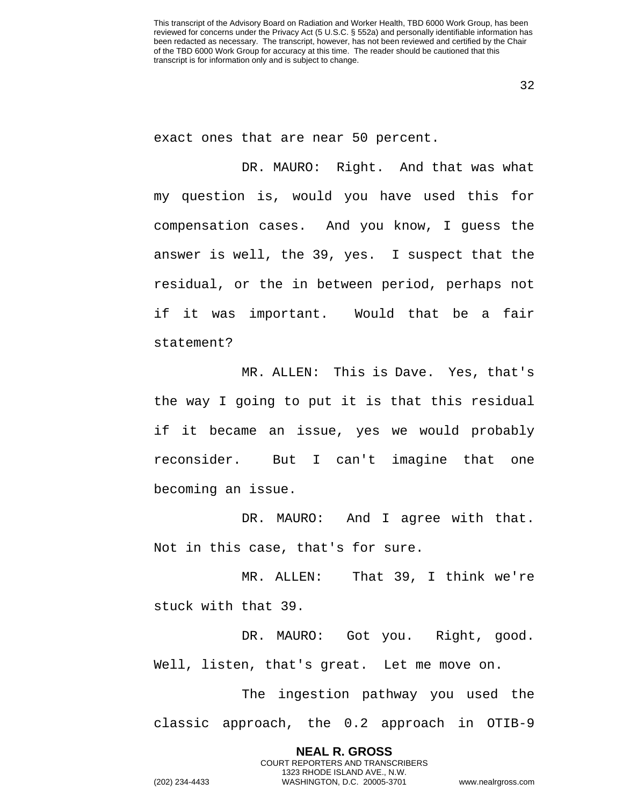32

exact ones that are near 50 percent.

DR. MAURO: Right. And that was what my question is, would you have used this for compensation cases. And you know, I guess the answer is well, the 39, yes. I suspect that the residual, or the in between period, perhaps not if it was important. Would that be a fair statement?

MR. ALLEN: This is Dave. Yes, that's the way I going to put it is that this residual if it became an issue, yes we would probably reconsider. But I can't imagine that one becoming an issue.

DR. MAURO: And I agree with that. Not in this case, that's for sure.

MR. ALLEN: That 39, I think we're stuck with that 39.

DR. MAURO: Got you. Right, good. Well, listen, that's great. Let me move on.

The ingestion pathway you used the classic approach, the 0.2 approach in OTIB-9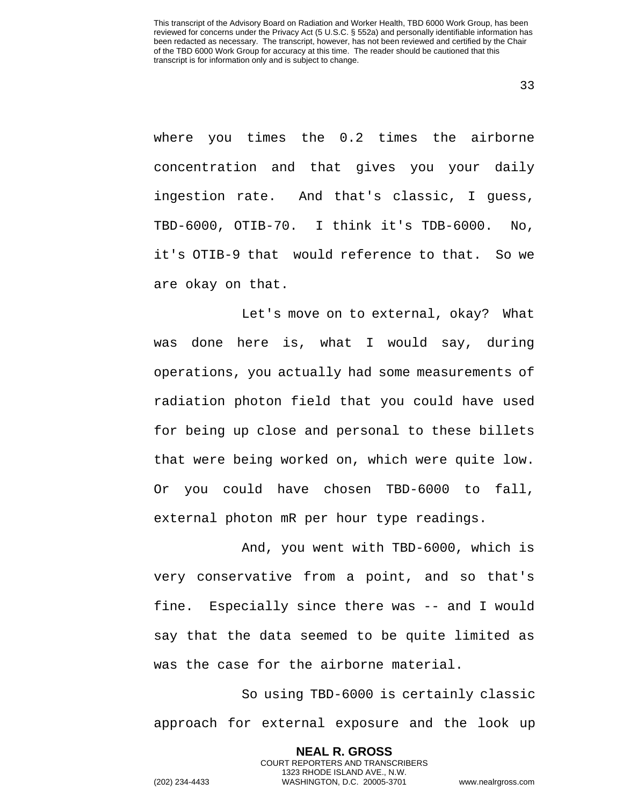where you times the 0.2 times the airborne concentration and that gives you your daily ingestion rate. And that's classic, I guess, TBD-6000, OTIB-70. I think it's TDB-6000. No, it's OTIB-9 that would reference to that. So we are okay on that.

Let's move on to external, okay? What was done here is, what I would say, during operations, you actually had some measurements of radiation photon field that you could have used for being up close and personal to these billets that were being worked on, which were quite low. Or you could have chosen TBD-6000 to fall, external photon mR per hour type readings.

And, you went with TBD-6000, which is very conservative from a point, and so that's fine. Especially since there was -- and I would say that the data seemed to be quite limited as was the case for the airborne material.

So using TBD-6000 is certainly classic approach for external exposure and the look up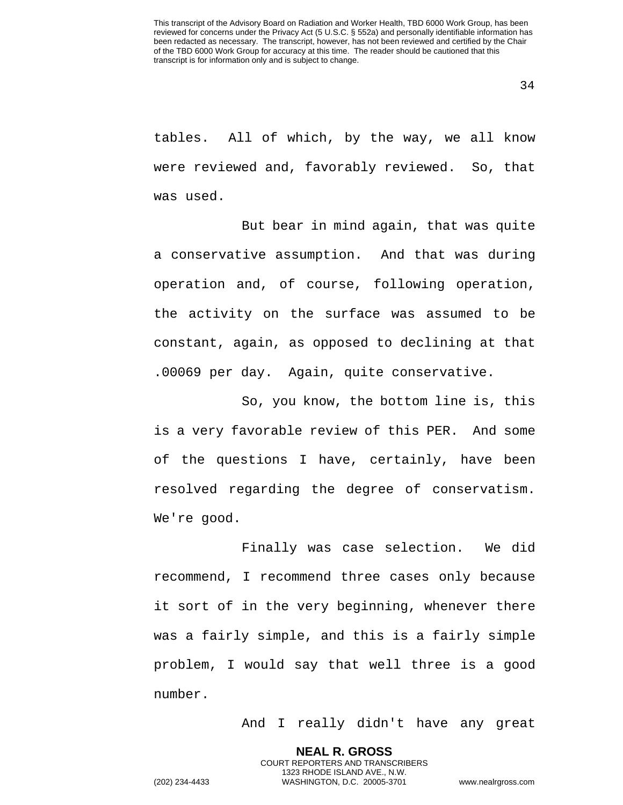tables. All of which, by the way, we all know were reviewed and, favorably reviewed. So, that was used.

But bear in mind again, that was quite a conservative assumption. And that was during operation and, of course, following operation, the activity on the surface was assumed to be constant, again, as opposed to declining at that .00069 per day. Again, quite conservative.

So, you know, the bottom line is, this is a very favorable review of this PER. And some of the questions I have, certainly, have been resolved regarding the degree of conservatism. We're good.

Finally was case selection. We did recommend, I recommend three cases only because it sort of in the very beginning, whenever there was a fairly simple, and this is a fairly simple problem, I would say that well three is a good number.

> **NEAL R. GROSS** COURT REPORTERS AND TRANSCRIBERS 1323 RHODE ISLAND AVE., N.W.

And I really didn't have any great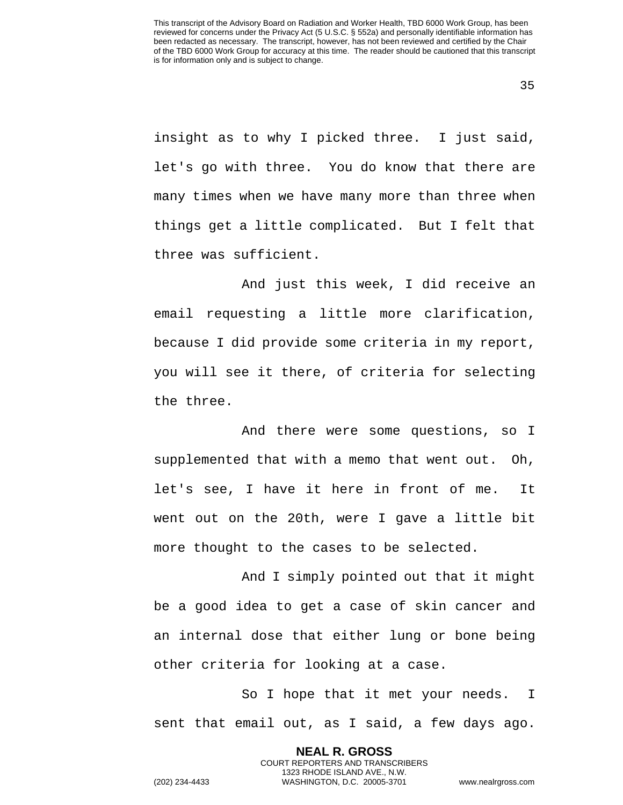insight as to why I picked three. I just said, let's go with three. You do know that there are many times when we have many more than three when things get a little complicated. But I felt that three was sufficient.

And just this week, I did receive an email requesting a little more clarification, because I did provide some criteria in my report, you will see it there, of criteria for selecting the three.

And there were some questions, so I supplemented that with a memo that went out. Oh, let's see, I have it here in front of me. It went out on the 20th, were I gave a little bit more thought to the cases to be selected.

And I simply pointed out that it might be a good idea to get a case of skin cancer and an internal dose that either lung or bone being other criteria for looking at a case.

So I hope that it met your needs. I sent that email out, as I said, a few days ago.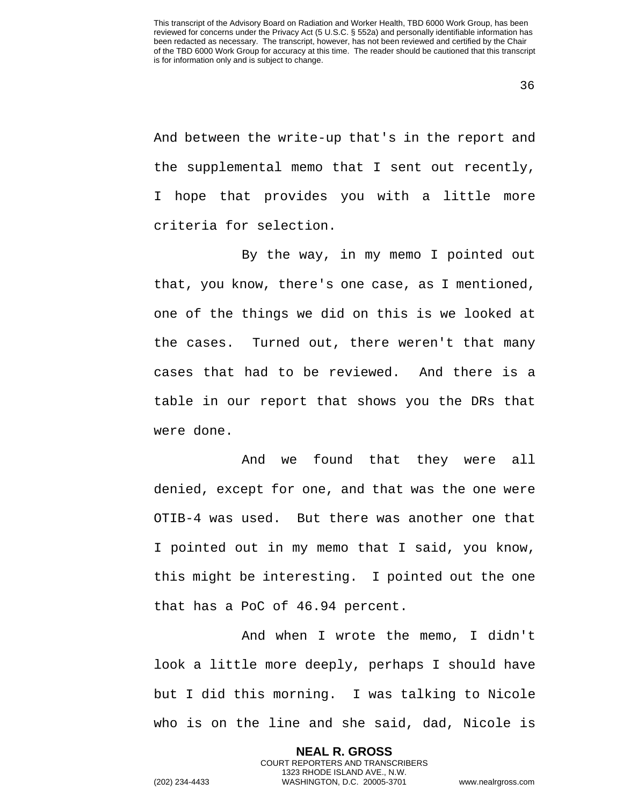And between the write-up that's in the report and the supplemental memo that I sent out recently, I hope that provides you with a little more criteria for selection.

By the way, in my memo I pointed out that, you know, there's one case, as I mentioned, one of the things we did on this is we looked at the cases. Turned out, there weren't that many cases that had to be reviewed. And there is a table in our report that shows you the DRs that were done.

And we found that they were all denied, except for one, and that was the one were OTIB-4 was used. But there was another one that I pointed out in my memo that I said, you know, this might be interesting. I pointed out the one that has a PoC of 46.94 percent.

And when I wrote the memo, I didn't look a little more deeply, perhaps I should have but I did this morning. I was talking to Nicole who is on the line and she said, dad, Nicole is

> **NEAL R. GROSS** COURT REPORTERS AND TRANSCRIBERS 1323 RHODE ISLAND AVE., N.W.

(202) 234-4433 WASHINGTON, D.C. 20005-3701 www.nealrgross.com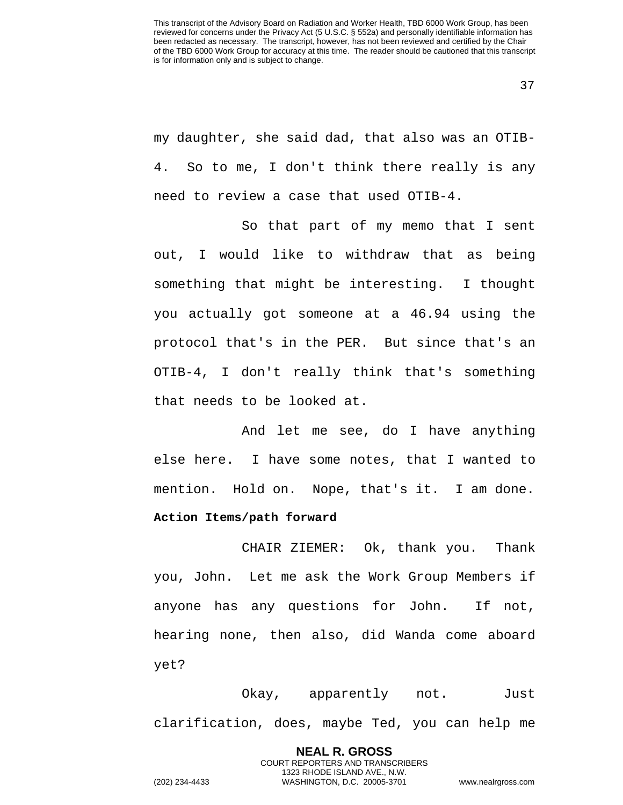my daughter, she said dad, that also was an OTIB-4. So to me, I don't think there really is any need to review a case that used OTIB-4.

So that part of my memo that I sent out, I would like to withdraw that as being something that might be interesting. I thought you actually got someone at a 46.94 using the protocol that's in the PER. But since that's an OTIB-4, I don't really think that's something that needs to be looked at.

And let me see, do I have anything else here. I have some notes, that I wanted to mention. Hold on. Nope, that's it. I am done. **Action Items/path forward** 

CHAIR ZIEMER: Ok, thank you. Thank you, John. Let me ask the Work Group Members if anyone has any questions for John. If not, hearing none, then also, did Wanda come aboard yet?

Okay, apparently not. Just clarification, does, maybe Ted, you can help me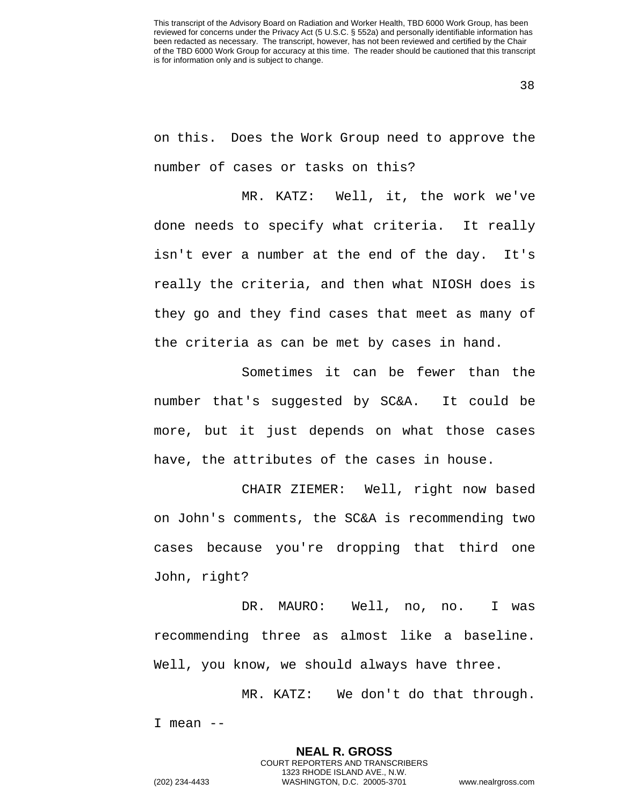38

on this. Does the Work Group need to approve the number of cases or tasks on this?

MR. KATZ: Well, it, the work we've done needs to specify what criteria. It really isn't ever a number at the end of the day. It's really the criteria, and then what NIOSH does is they go and they find cases that meet as many of the criteria as can be met by cases in hand.

Sometimes it can be fewer than the number that's suggested by SC&A. It could be more, but it just depends on what those cases have, the attributes of the cases in house.

CHAIR ZIEMER: Well, right now based on John's comments, the SC&A is recommending two cases because you're dropping that third one John, right?

DR. MAURO: Well, no, no. I was recommending three as almost like a baseline. Well, you know, we should always have three.

MR. KATZ: We don't do that through. I mean  $-$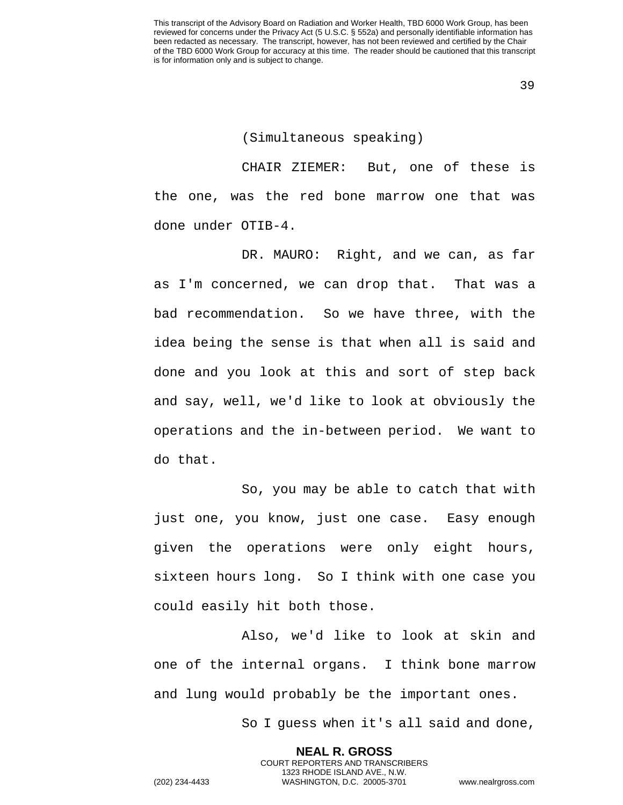## (Simultaneous speaking)

CHAIR ZIEMER: But, one of these is the one, was the red bone marrow one that was done under OTIB-4.

DR. MAURO: Right, and we can, as far as I'm concerned, we can drop that. That was a bad recommendation. So we have three, with the idea being the sense is that when all is said and done and you look at this and sort of step back and say, well, we'd like to look at obviously the operations and the in-between period. We want to do that.

So, you may be able to catch that with just one, you know, just one case. Easy enough given the operations were only eight hours, sixteen hours long. So I think with one case you could easily hit both those.

Also, we'd like to look at skin and one of the internal organs. I think bone marrow and lung would probably be the important ones.

So I guess when it's all said and done,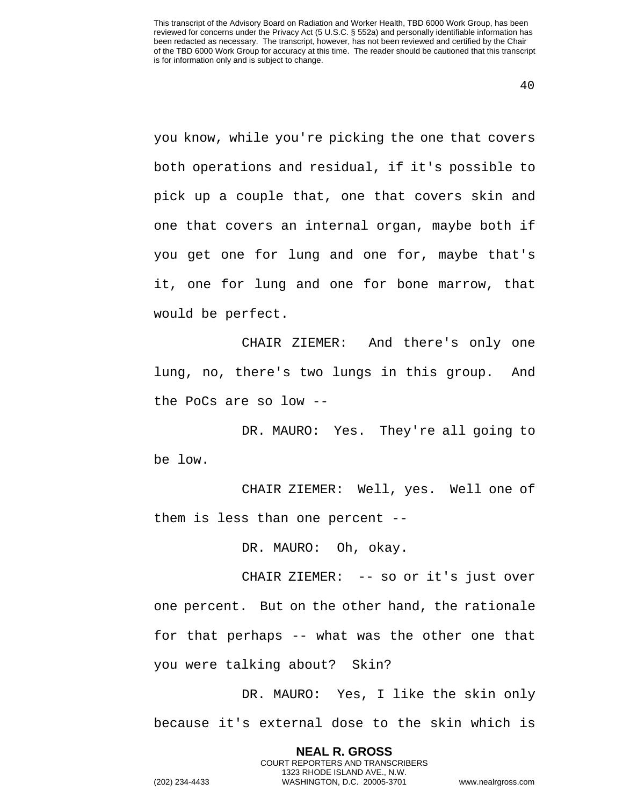you know, while you're picking the one that covers both operations and residual, if it's possible to pick up a couple that, one that covers skin and one that covers an internal organ, maybe both if you get one for lung and one for, maybe that's it, one for lung and one for bone marrow, that would be perfect.

CHAIR ZIEMER: And there's only one lung, no, there's two lungs in this group. And the PoCs are so low --

DR. MAURO: Yes. They're all going to be low.

CHAIR ZIEMER: Well, yes. Well one of them is less than one percent --

DR. MAURO: Oh, okay.

CHAIR ZIEMER: -- so or it's just over one percent. But on the other hand, the rationale for that perhaps -- what was the other one that you were talking about? Skin?

DR. MAURO: Yes, I like the skin only because it's external dose to the skin which is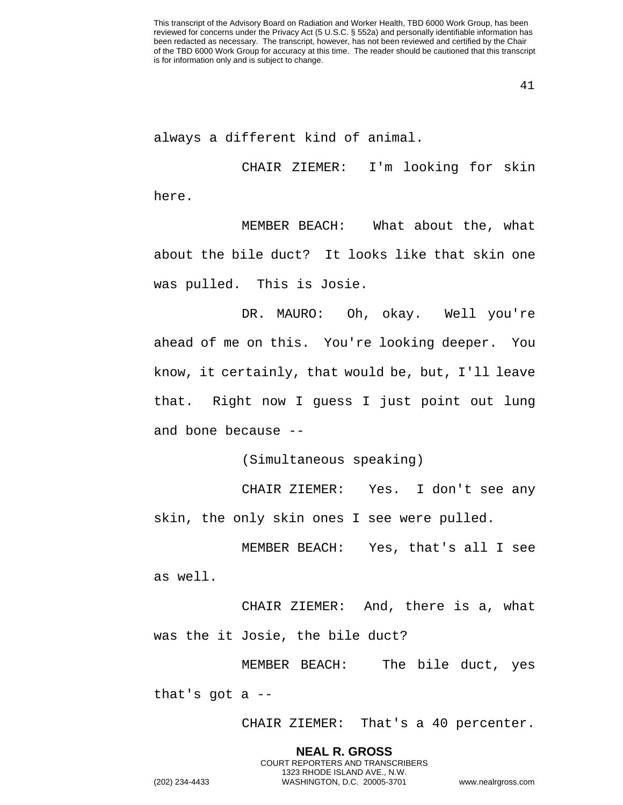always a different kind of animal.

CHAIR ZIEMER: I'm looking for skin here.

MEMBER BEACH: What about the, what about the bile duct? It looks like that skin one was pulled. This is Josie.

DR. MAURO: Oh, okay. Well you're ahead of me on this. You're looking deeper. You know, it certainly, that would be, but, I'll leave that. Right now I guess I just point out lung and bone because --

(Simultaneous speaking)

CHAIR ZIEMER: Yes. I don't see any skin, the only skin ones I see were pulled.

MEMBER BEACH: Yes, that's all I see as well.

CHAIR ZIEMER: And, there is a, what was the it Josie, the bile duct?

MEMBER BEACH: The bile duct, yes that's got  $a$  --

CHAIR ZIEMER: That's a 40 percenter.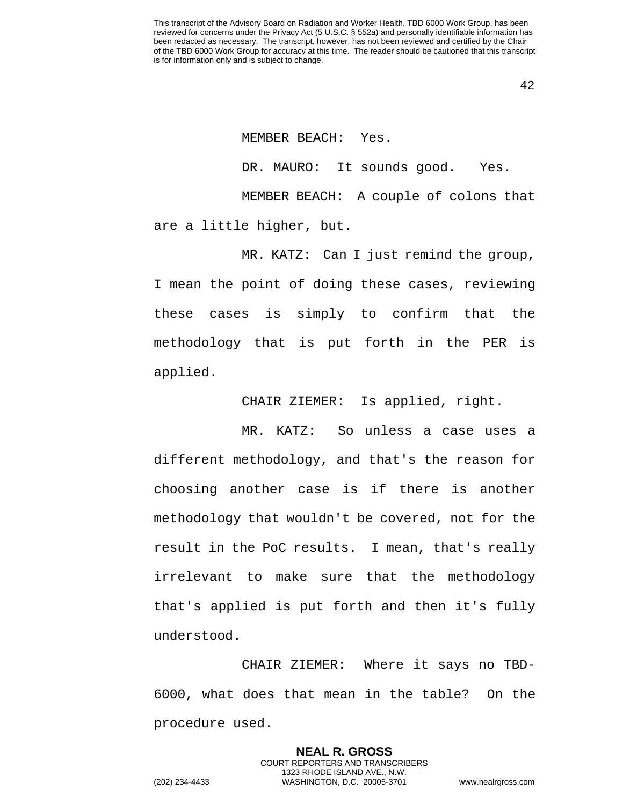MEMBER BEACH: Yes. DR. MAURO: It sounds good. Yes. MEMBER BEACH: A couple of colons that are a little higher, but.

MR. KATZ: Can I just remind the group, I mean the point of doing these cases, reviewing these cases is simply to confirm that the methodology that is put forth in the PER is applied.

CHAIR ZIEMER: Is applied, right.

MR. KATZ: So unless a case uses a different methodology, and that's the reason for choosing another case is if there is another methodology that wouldn't be covered, not for the result in the PoC results. I mean, that's really irrelevant to make sure that the methodology that's applied is put forth and then it's fully understood.

CHAIR ZIEMER: Where it says no TBD-6000, what does that mean in the table? On the procedure used.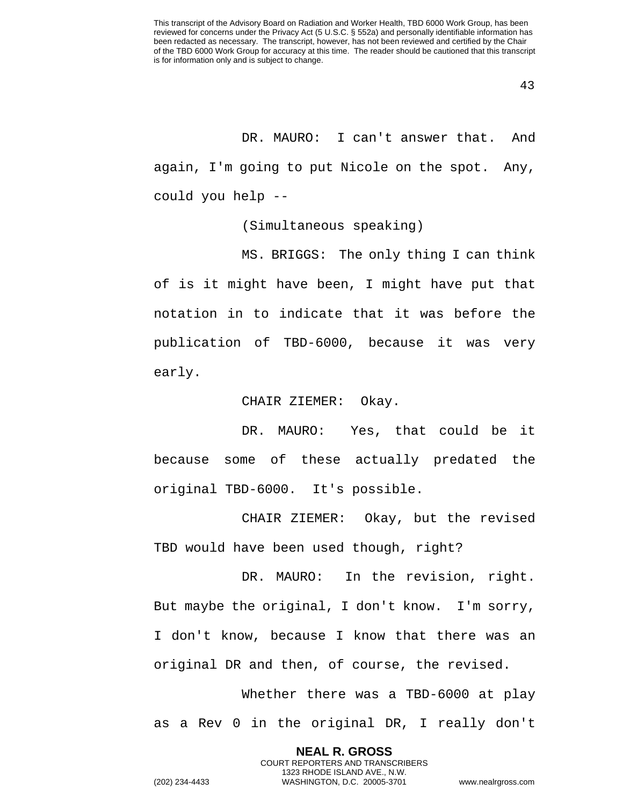DR. MAURO: I can't answer that. And again, I'm going to put Nicole on the spot. Any, could you help --

(Simultaneous speaking)

MS. BRIGGS: The only thing I can think of is it might have been, I might have put that notation in to indicate that it was before the publication of TBD-6000, because it was very early.

CHAIR ZIEMER: Okay.

DR. MAURO: Yes, that could be it because some of these actually predated the original TBD-6000. It's possible.

CHAIR ZIEMER: Okay, but the revised TBD would have been used though, right?

DR. MAURO: In the revision, right. But maybe the original, I don't know. I'm sorry, I don't know, because I know that there was an original DR and then, of course, the revised.

Whether there was a TBD-6000 at play as a Rev 0 in the original DR, I really don't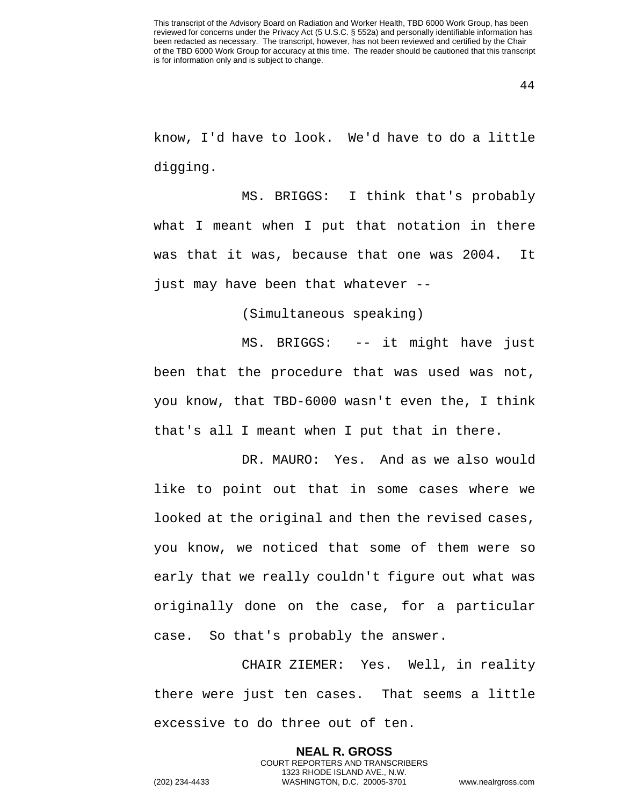know, I'd have to look. We'd have to do a little digging.

MS. BRIGGS: I think that's probably what I meant when I put that notation in there was that it was, because that one was 2004. It just may have been that whatever --

(Simultaneous speaking)

MS. BRIGGS: -- it might have just been that the procedure that was used was not, you know, that TBD-6000 wasn't even the, I think that's all I meant when I put that in there.

DR. MAURO: Yes. And as we also would like to point out that in some cases where we looked at the original and then the revised cases, you know, we noticed that some of them were so early that we really couldn't figure out what was originally done on the case, for a particular case. So that's probably the answer.

CHAIR ZIEMER: Yes. Well, in reality there were just ten cases. That seems a little excessive to do three out of ten.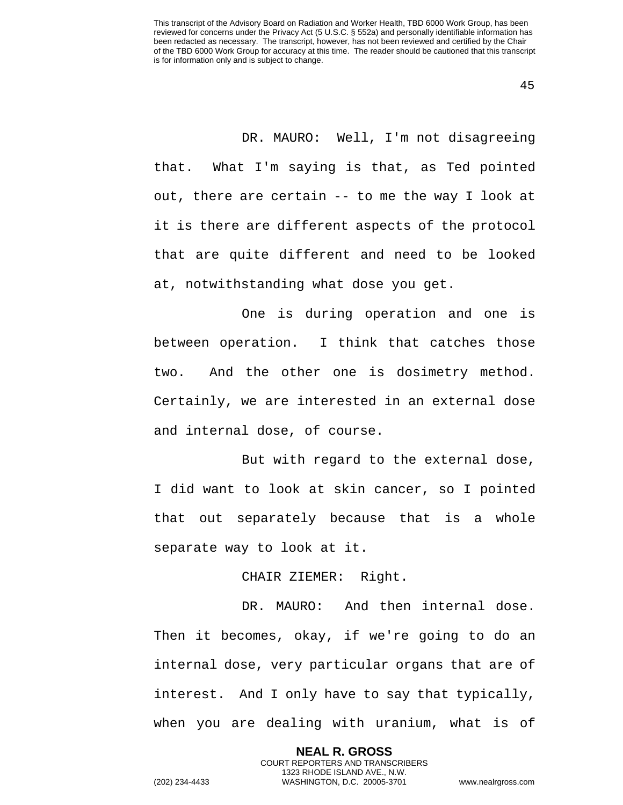45

DR. MAURO: Well, I'm not disagreeing that. What I'm saying is that, as Ted pointed out, there are certain -- to me the way I look at it is there are different aspects of the protocol that are quite different and need to be looked at, notwithstanding what dose you get.

One is during operation and one is between operation. I think that catches those two. And the other one is dosimetry method. Certainly, we are interested in an external dose and internal dose, of course.

But with regard to the external dose, I did want to look at skin cancer, so I pointed that out separately because that is a whole separate way to look at it.

CHAIR ZIEMER: Right.

DR. MAURO: And then internal dose. Then it becomes, okay, if we're going to do an internal dose, very particular organs that are of interest. And I only have to say that typically, when you are dealing with uranium, what is of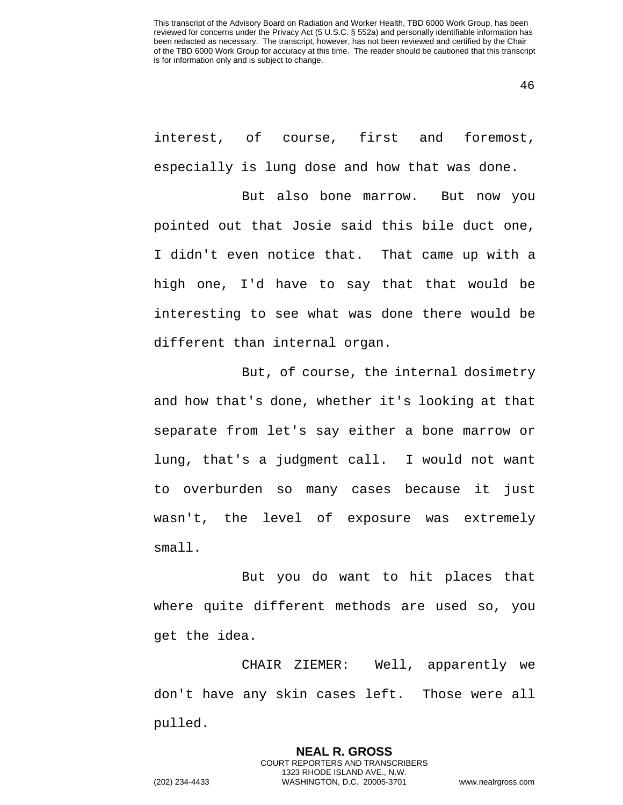46

interest, of course, first and foremost, especially is lung dose and how that was done.

But also bone marrow. But now you pointed out that Josie said this bile duct one, I didn't even notice that. That came up with a high one, I'd have to say that that would be interesting to see what was done there would be different than internal organ.

But, of course, the internal dosimetry and how that's done, whether it's looking at that separate from let's say either a bone marrow or lung, that's a judgment call. I would not want to overburden so many cases because it just wasn't, the level of exposure was extremely small.

But you do want to hit places that where quite different methods are used so, you get the idea.

CHAIR ZIEMER: Well, apparently we don't have any skin cases left. Those were all pulled.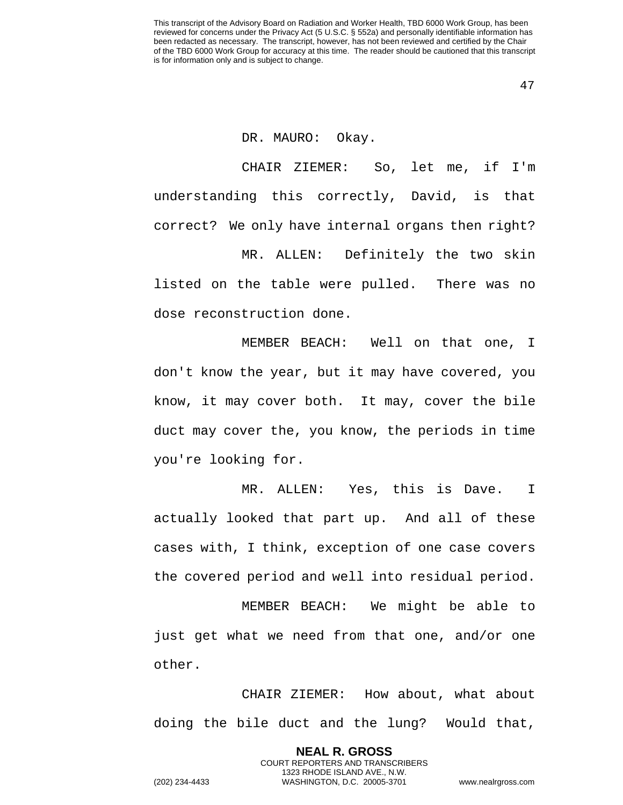47

## DR. MAURO: Okay.

CHAIR ZIEMER: So, let me, if I'm understanding this correctly, David, is that correct? We only have internal organs then right?

MR. ALLEN: Definitely the two skin listed on the table were pulled. There was no dose reconstruction done.

MEMBER BEACH: Well on that one, I don't know the year, but it may have covered, you know, it may cover both. It may, cover the bile duct may cover the, you know, the periods in time you're looking for.

MR. ALLEN: Yes, this is Dave. I actually looked that part up. And all of these cases with, I think, exception of one case covers the covered period and well into residual period.

MEMBER BEACH: We might be able to just get what we need from that one, and/or one other.

CHAIR ZIEMER: How about, what about doing the bile duct and the lung? Would that,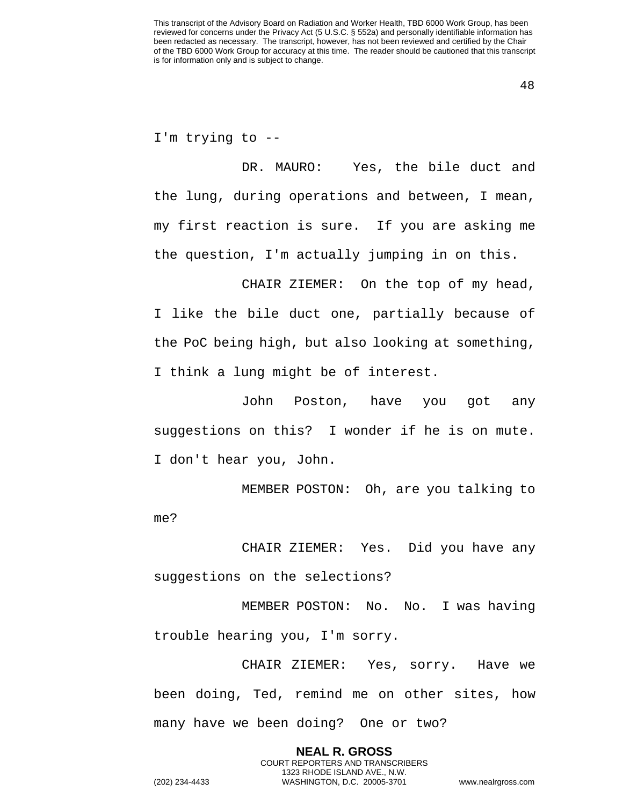48

I'm trying to --

DR. MAURO: Yes, the bile duct and the lung, during operations and between, I mean, my first reaction is sure. If you are asking me the question, I'm actually jumping in on this.

CHAIR ZIEMER: On the top of my head, I like the bile duct one, partially because of the PoC being high, but also looking at something, I think a lung might be of interest.

John Poston, have you got any suggestions on this? I wonder if he is on mute. I don't hear you, John.

MEMBER POSTON: Oh, are you talking to me?

CHAIR ZIEMER: Yes. Did you have any suggestions on the selections?

MEMBER POSTON: No. No. I was having trouble hearing you, I'm sorry.

CHAIR ZIEMER: Yes, sorry. Have we been doing, Ted, remind me on other sites, how many have we been doing? One or two?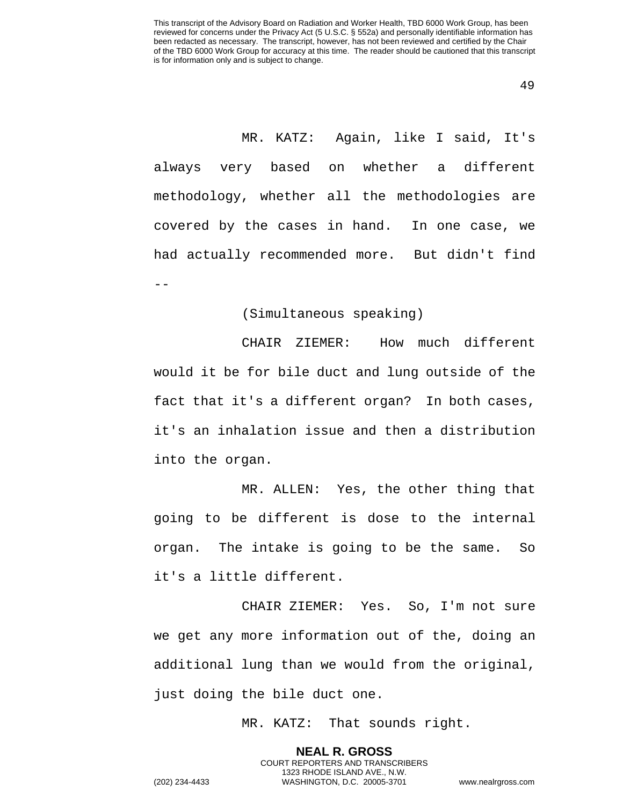49

MR. KATZ: Again, like I said, It's always very based on whether a different methodology, whether all the methodologies are covered by the cases in hand. In one case, we had actually recommended more. But didn't find --

## (Simultaneous speaking)

CHAIR ZIEMER: How much different would it be for bile duct and lung outside of the fact that it's a different organ? In both cases, it's an inhalation issue and then a distribution into the organ.

MR. ALLEN: Yes, the other thing that going to be different is dose to the internal organ. The intake is going to be the same. So it's a little different.

CHAIR ZIEMER: Yes. So, I'm not sure we get any more information out of the, doing an additional lung than we would from the original, just doing the bile duct one.

MR. KATZ: That sounds right.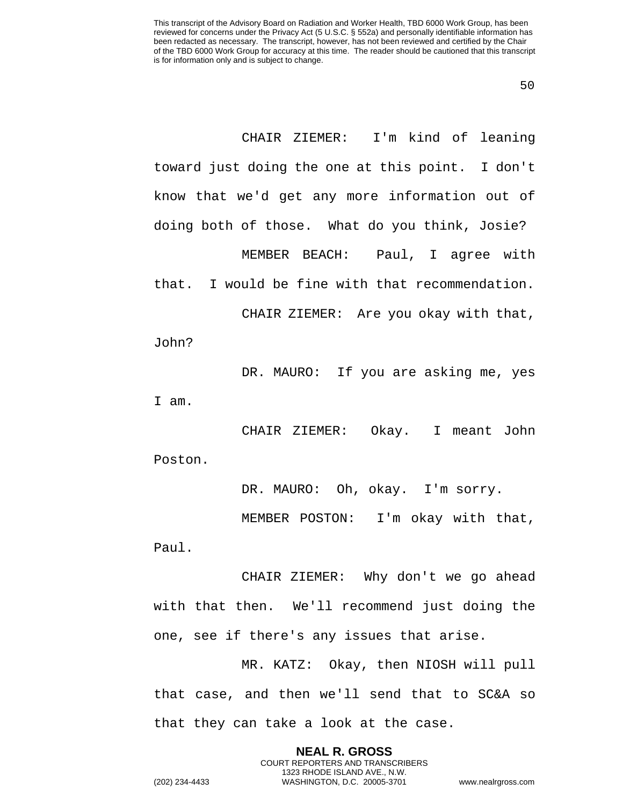50

CHAIR ZIEMER: I'm kind of leaning toward just doing the one at this point. I don't know that we'd get any more information out of doing both of those. What do you think, Josie? MEMBER BEACH: Paul, I agree with that. I would be fine with that recommendation.

CHAIR ZIEMER: Are you okay with that, John?

DR. MAURO: If you are asking me, yes I am.

CHAIR ZIEMER: Okay. I meant John Poston.

DR. MAURO: Oh, okay. I'm sorry.

MEMBER POSTON: I'm okay with that, Paul.

CHAIR ZIEMER: Why don't we go ahead with that then. We'll recommend just doing the one, see if there's any issues that arise.

MR. KATZ: Okay, then NIOSH will pull that case, and then we'll send that to SC&A so that they can take a look at the case.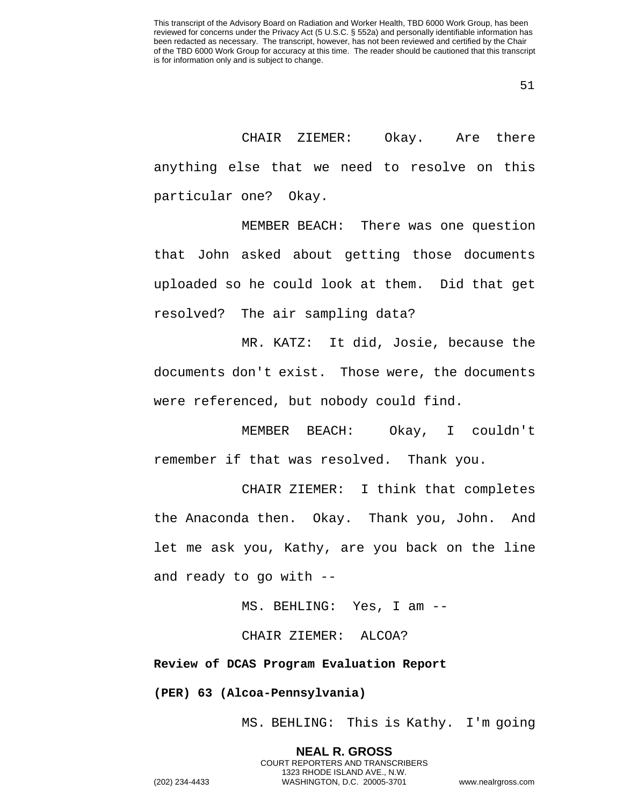CHAIR ZIEMER: Okay. Are there anything else that we need to resolve on this particular one? Okay.

MEMBER BEACH: There was one question that John asked about getting those documents uploaded so he could look at them. Did that get resolved? The air sampling data?

MR. KATZ: It did, Josie, because the documents don't exist. Those were, the documents were referenced, but nobody could find.

MEMBER BEACH: Okay, I couldn't remember if that was resolved. Thank you.

CHAIR ZIEMER: I think that completes the Anaconda then. Okay. Thank you, John. And let me ask you, Kathy, are you back on the line and ready to go with --

MS. BEHLING: Yes, I am --

CHAIR ZIEMER: ALCOA?

**Review of DCAS Program Evaluation Report**

**(PER) 63 (Alcoa-Pennsylvania)**

MS. BEHLING: This is Kathy. I'm going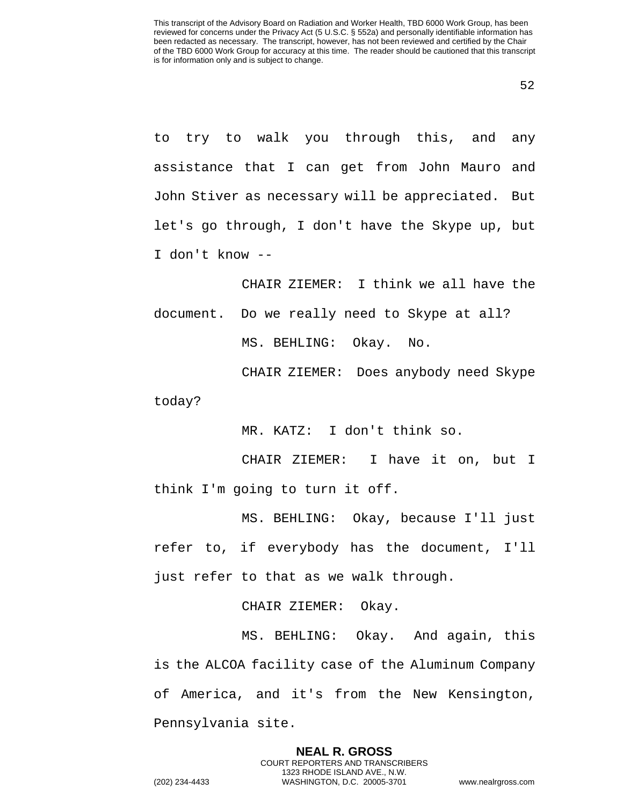to try to walk you through this, and any assistance that I can get from John Mauro and John Stiver as necessary will be appreciated. But let's go through, I don't have the Skype up, but I don't know --

CHAIR ZIEMER: I think we all have the document. Do we really need to Skype at all? MS. BEHLING: Okay. No.

CHAIR ZIEMER: Does anybody need Skype today?

MR. KATZ: I don't think so.

CHAIR ZIEMER: I have it on, but I think I'm going to turn it off.

MS. BEHLING: Okay, because I'll just refer to, if everybody has the document, I'll just refer to that as we walk through.

CHAIR ZIEMER: Okay.

MS. BEHLING: Okay. And again, this is the ALCOA facility case of the Aluminum Company of America, and it's from the New Kensington, Pennsylvania site.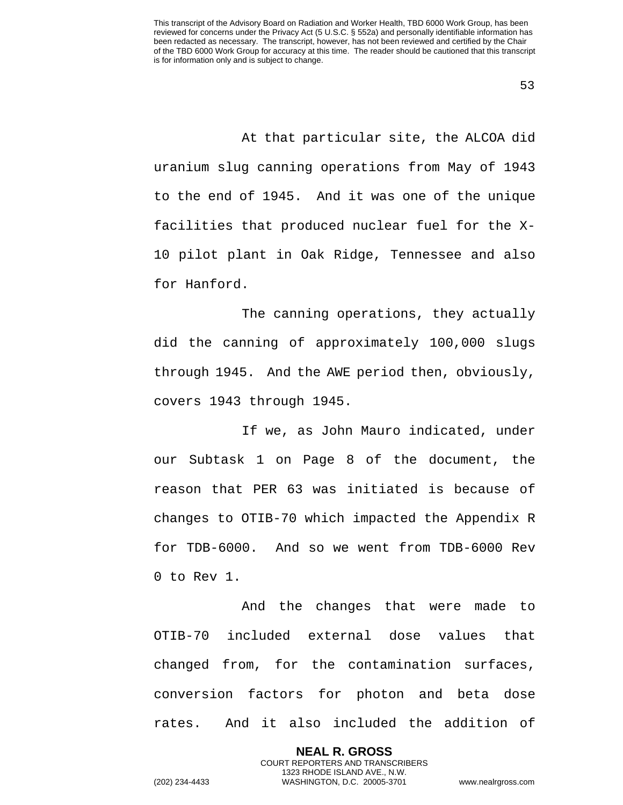At that particular site, the ALCOA did uranium slug canning operations from May of 1943 to the end of 1945. And it was one of the unique facilities that produced nuclear fuel for the X-10 pilot plant in Oak Ridge, Tennessee and also for Hanford.

The canning operations, they actually did the canning of approximately 100,000 slugs through 1945. And the AWE period then, obviously, covers 1943 through 1945.

If we, as John Mauro indicated, under our Subtask 1 on Page 8 of the document, the reason that PER 63 was initiated is because of changes to OTIB-70 which impacted the Appendix R for TDB-6000. And so we went from TDB-6000 Rev 0 to Rev 1.

And the changes that were made to OTIB-70 included external dose values that changed from, for the contamination surfaces, conversion factors for photon and beta dose rates. And it also included the addition of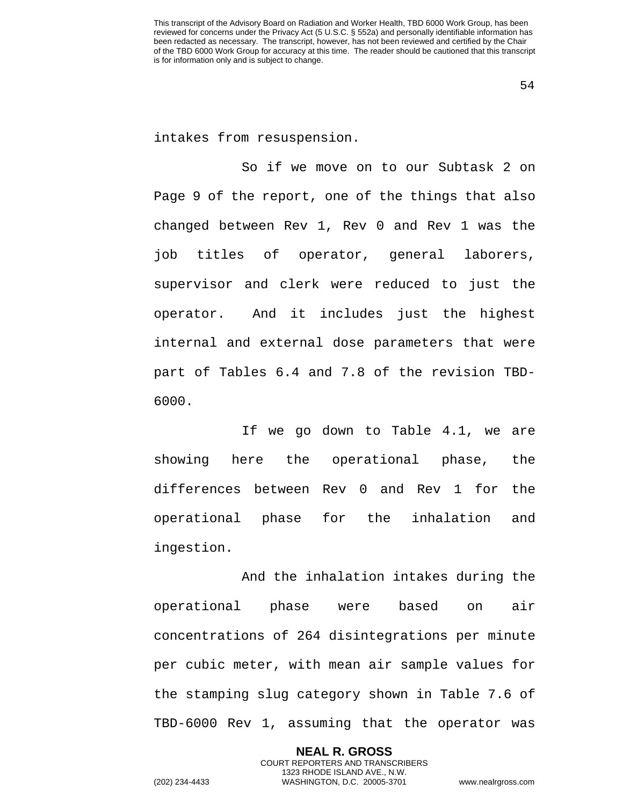54

intakes from resuspension.

So if we move on to our Subtask 2 on Page 9 of the report, one of the things that also changed between Rev 1, Rev 0 and Rev 1 was the job titles of operator, general laborers, supervisor and clerk were reduced to just the operator. And it includes just the highest internal and external dose parameters that were part of Tables 6.4 and 7.8 of the revision TBD-6000.

If we go down to Table 4.1, we are showing here the operational phase, the differences between Rev 0 and Rev 1 for the operational phase for the inhalation and ingestion.

And the inhalation intakes during the operational phase were based on air concentrations of 264 disintegrations per minute per cubic meter, with mean air sample values for the stamping slug category shown in Table 7.6 of TBD-6000 Rev 1, assuming that the operator was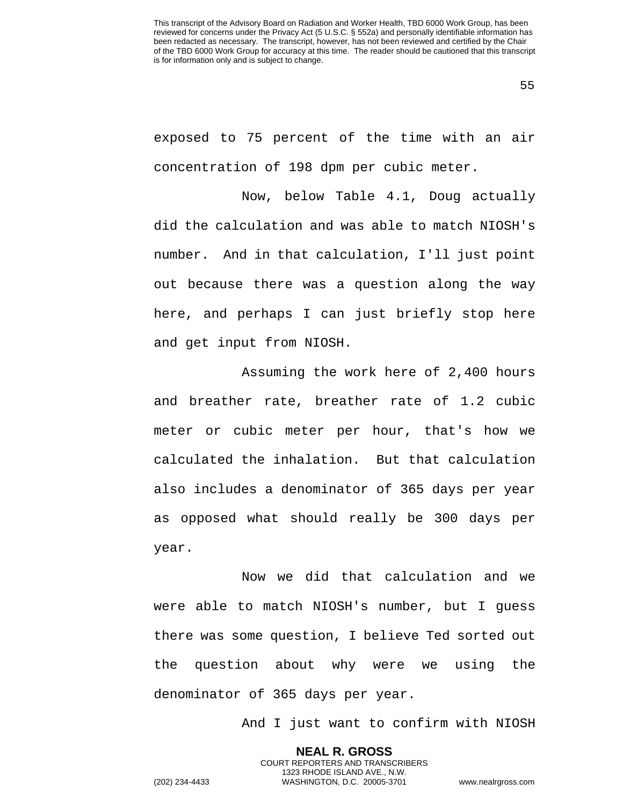exposed to 75 percent of the time with an air concentration of 198 dpm per cubic meter.

Now, below Table 4.1, Doug actually did the calculation and was able to match NIOSH's number. And in that calculation, I'll just point out because there was a question along the way here, and perhaps I can just briefly stop here and get input from NIOSH.

Assuming the work here of 2,400 hours and breather rate, breather rate of 1.2 cubic meter or cubic meter per hour, that's how we calculated the inhalation. But that calculation also includes a denominator of 365 days per year as opposed what should really be 300 days per year.

Now we did that calculation and we were able to match NIOSH's number, but I guess there was some question, I believe Ted sorted out the question about why were we using the denominator of 365 days per year.

> **NEAL R. GROSS** COURT REPORTERS AND TRANSCRIBERS 1323 RHODE ISLAND AVE., N.W.

And I just want to confirm with NIOSH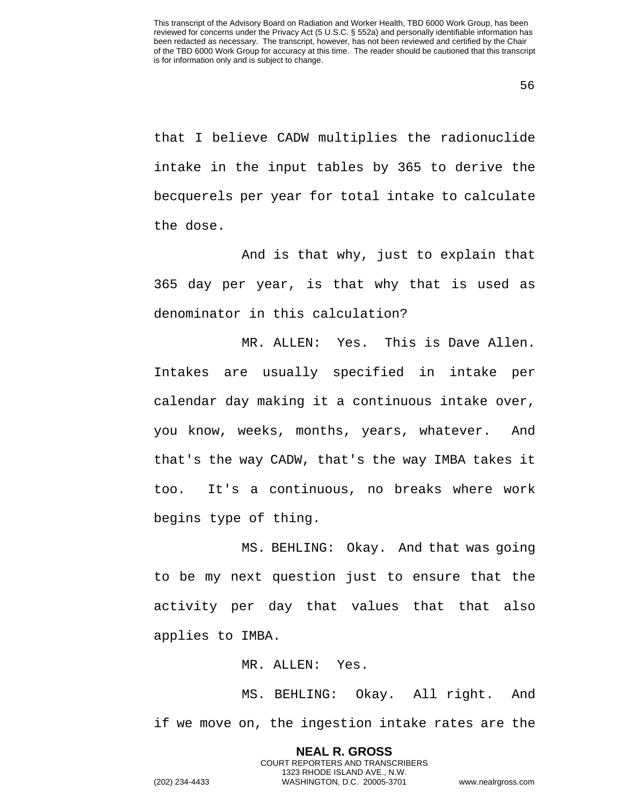that I believe CADW multiplies the radionuclide intake in the input tables by 365 to derive the becquerels per year for total intake to calculate the dose.

And is that why, just to explain that 365 day per year, is that why that is used as denominator in this calculation?

MR. ALLEN: Yes. This is Dave Allen. Intakes are usually specified in intake per calendar day making it a continuous intake over, you know, weeks, months, years, whatever. And that's the way CADW, that's the way IMBA takes it too. It's a continuous, no breaks where work begins type of thing.

MS. BEHLING: Okay. And that was going to be my next question just to ensure that the activity per day that values that that also applies to IMBA.

MR. ALLEN: Yes.

MS. BEHLING: Okay. All right. And if we move on, the ingestion intake rates are the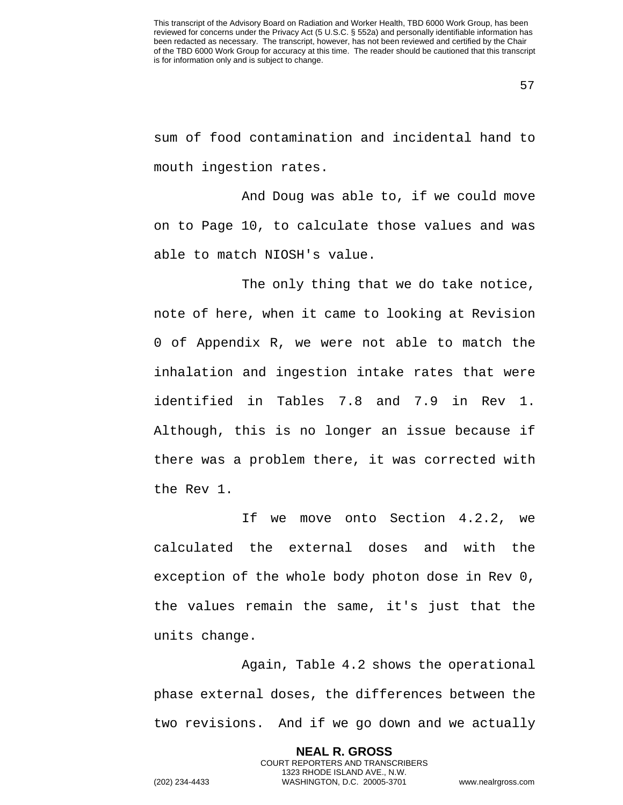sum of food contamination and incidental hand to mouth ingestion rates.

And Doug was able to, if we could move on to Page 10, to calculate those values and was able to match NIOSH's value.

The only thing that we do take notice, note of here, when it came to looking at Revision 0 of Appendix R, we were not able to match the inhalation and ingestion intake rates that were identified in Tables 7.8 and 7.9 in Rev 1. Although, this is no longer an issue because if there was a problem there, it was corrected with the Rev 1.

If we move onto Section 4.2.2, we calculated the external doses and with the exception of the whole body photon dose in Rev 0, the values remain the same, it's just that the units change.

Again, Table 4.2 shows the operational phase external doses, the differences between the two revisions. And if we go down and we actually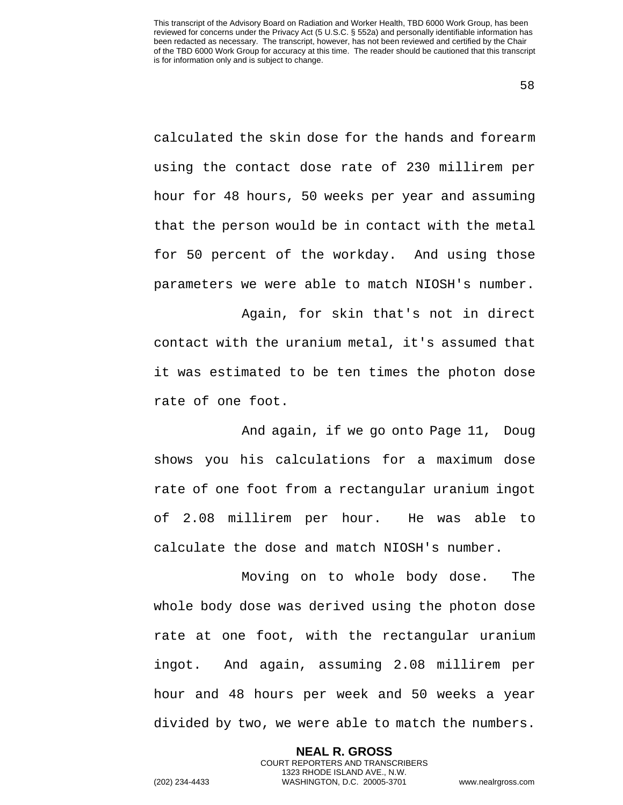58

calculated the skin dose for the hands and forearm using the contact dose rate of 230 millirem per hour for 48 hours, 50 weeks per year and assuming that the person would be in contact with the metal for 50 percent of the workday. And using those parameters we were able to match NIOSH's number.

Again, for skin that's not in direct contact with the uranium metal, it's assumed that it was estimated to be ten times the photon dose rate of one foot.

And again, if we go onto Page 11, Doug shows you his calculations for a maximum dose rate of one foot from a rectangular uranium ingot of 2.08 millirem per hour. He was able to calculate the dose and match NIOSH's number.

Moving on to whole body dose. The whole body dose was derived using the photon dose rate at one foot, with the rectangular uranium ingot. And again, assuming 2.08 millirem per hour and 48 hours per week and 50 weeks a year divided by two, we were able to match the numbers.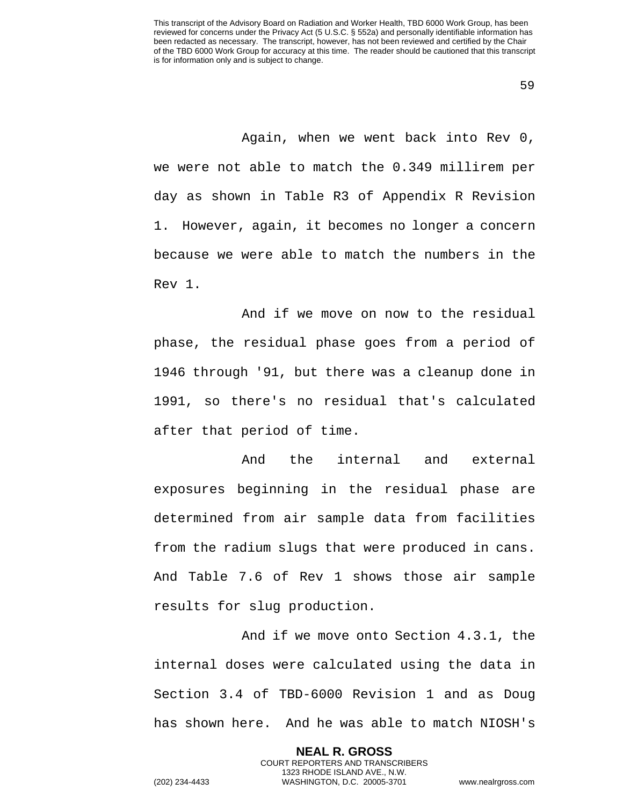Again, when we went back into Rev 0, we were not able to match the 0.349 millirem per day as shown in Table R3 of Appendix R Revision 1. However, again, it becomes no longer a concern because we were able to match the numbers in the Rev 1.

And if we move on now to the residual phase, the residual phase goes from a period of 1946 through '91, but there was a cleanup done in 1991, so there's no residual that's calculated after that period of time.

And the internal and external exposures beginning in the residual phase are determined from air sample data from facilities from the radium slugs that were produced in cans. And Table 7.6 of Rev 1 shows those air sample results for slug production.

And if we move onto Section 4.3.1, the internal doses were calculated using the data in Section 3.4 of TBD-6000 Revision 1 and as Doug has shown here. And he was able to match NIOSH's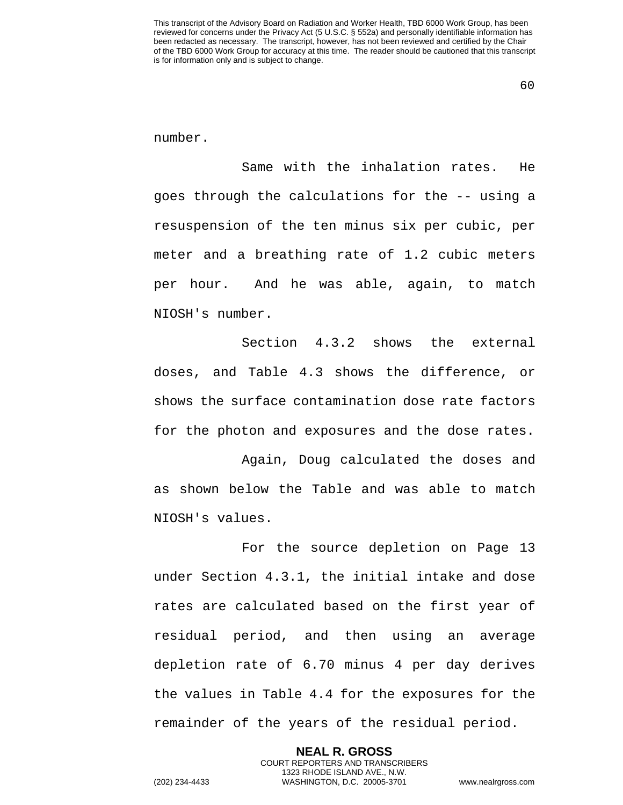number.

Same with the inhalation rates. He goes through the calculations for the -- using a resuspension of the ten minus six per cubic, per meter and a breathing rate of 1.2 cubic meters per hour. And he was able, again, to match NIOSH's number.

Section 4.3.2 shows the external doses, and Table 4.3 shows the difference, or shows the surface contamination dose rate factors for the photon and exposures and the dose rates.

Again, Doug calculated the doses and as shown below the Table and was able to match NIOSH's values.

For the source depletion on Page 13 under Section 4.3.1, the initial intake and dose rates are calculated based on the first year of residual period, and then using an average depletion rate of 6.70 minus 4 per day derives the values in Table 4.4 for the exposures for the remainder of the years of the residual period.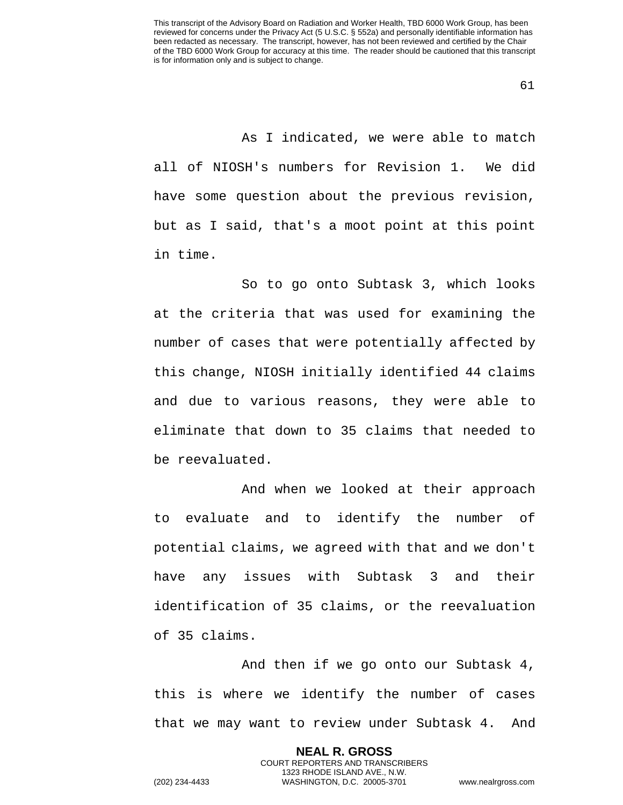As I indicated, we were able to match all of NIOSH's numbers for Revision 1. We did have some question about the previous revision, but as I said, that's a moot point at this point in time.

So to go onto Subtask 3, which looks at the criteria that was used for examining the number of cases that were potentially affected by this change, NIOSH initially identified 44 claims and due to various reasons, they were able to eliminate that down to 35 claims that needed to be reevaluated.

And when we looked at their approach to evaluate and to identify the number of potential claims, we agreed with that and we don't have any issues with Subtask 3 and their identification of 35 claims, or the reevaluation of 35 claims.

And then if we go onto our Subtask 4, this is where we identify the number of cases that we may want to review under Subtask 4. And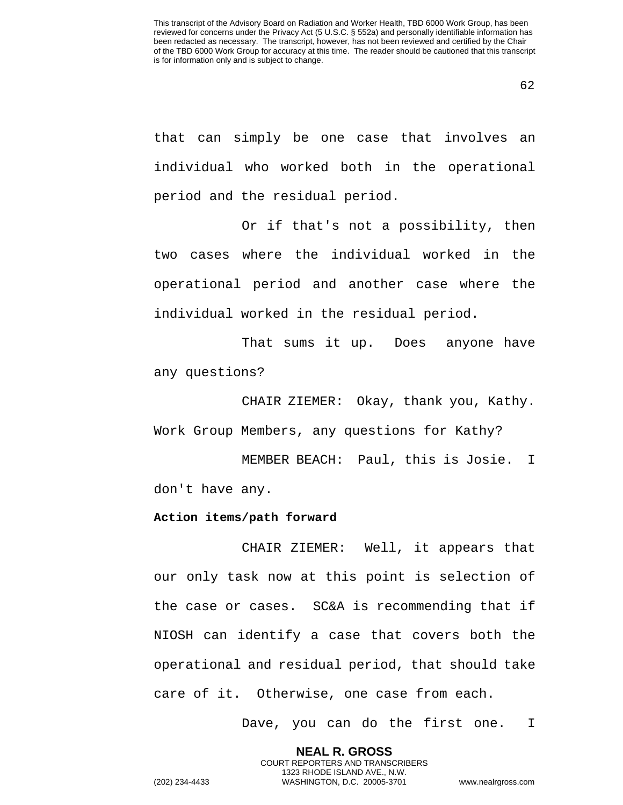that can simply be one case that involves an individual who worked both in the operational period and the residual period.

Or if that's not a possibility, then two cases where the individual worked in the operational period and another case where the individual worked in the residual period.

That sums it up. Does anyone have any questions?

CHAIR ZIEMER: Okay, thank you, Kathy. Work Group Members, any questions for Kathy?

MEMBER BEACH: Paul, this is Josie. I don't have any.

## **Action items/path forward**

CHAIR ZIEMER: Well, it appears that our only task now at this point is selection of the case or cases. SC&A is recommending that if NIOSH can identify a case that covers both the operational and residual period, that should take care of it. Otherwise, one case from each.

> **NEAL R. GROSS** COURT REPORTERS AND TRANSCRIBERS 1323 RHODE ISLAND AVE., N.W.

Dave, you can do the first one. I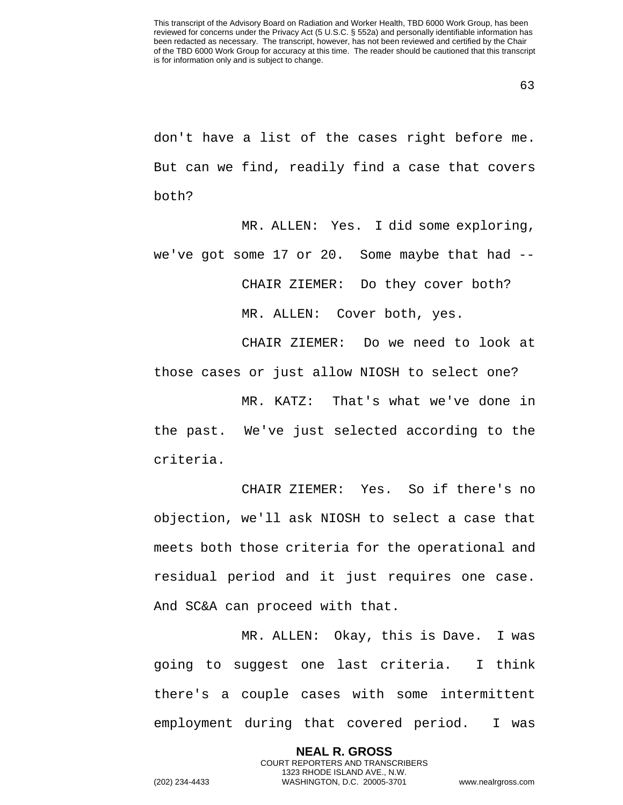don't have a list of the cases right before me. But can we find, readily find a case that covers both?

MR. ALLEN: Yes. I did some exploring, we've got some 17 or 20. Some maybe that had -- CHAIR ZIEMER: Do they cover both? MR. ALLEN: Cover both, yes.

CHAIR ZIEMER: Do we need to look at those cases or just allow NIOSH to select one?

MR. KATZ: That's what we've done in the past. We've just selected according to the criteria.

CHAIR ZIEMER: Yes. So if there's no objection, we'll ask NIOSH to select a case that meets both those criteria for the operational and residual period and it just requires one case. And SC&A can proceed with that.

MR. ALLEN: Okay, this is Dave. I was going to suggest one last criteria. I think there's a couple cases with some intermittent employment during that covered period. I was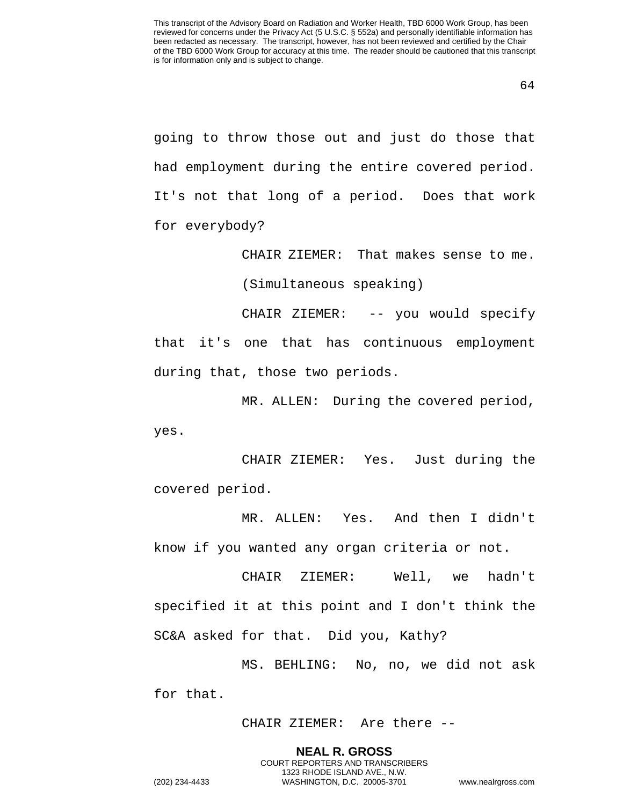going to throw those out and just do those that had employment during the entire covered period. It's not that long of a period. Does that work for everybody?

CHAIR ZIEMER: That makes sense to me.

(Simultaneous speaking)

CHAIR ZIEMER: -- you would specify that it's one that has continuous employment during that, those two periods.

MR. ALLEN: During the covered period, yes.

CHAIR ZIEMER: Yes. Just during the covered period.

MR. ALLEN: Yes. And then I didn't know if you wanted any organ criteria or not.

CHAIR ZIEMER: Well, we hadn't specified it at this point and I don't think the SC&A asked for that. Did you, Kathy?

MS. BEHLING: No, no, we did not ask for that.

CHAIR ZIEMER: Are there --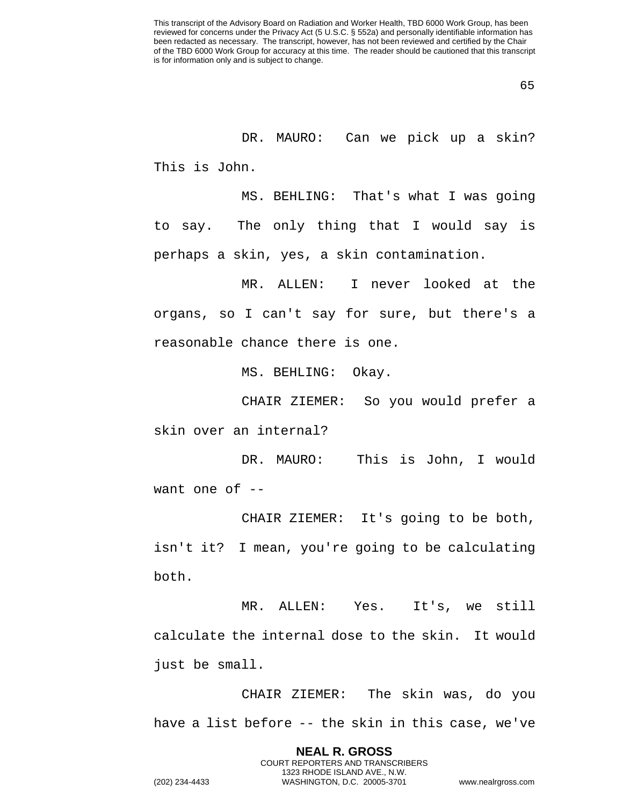DR. MAURO: Can we pick up a skin? This is John.

MS. BEHLING: That's what I was going to say. The only thing that I would say is perhaps a skin, yes, a skin contamination.

MR. ALLEN: I never looked at the organs, so I can't say for sure, but there's a reasonable chance there is one.

MS. BEHLING: Okay.

CHAIR ZIEMER: So you would prefer a skin over an internal?

DR. MAURO: This is John, I would want one of  $-$ 

CHAIR ZIEMER: It's going to be both, isn't it? I mean, you're going to be calculating both.

MR. ALLEN: Yes. It's, we still calculate the internal dose to the skin. It would just be small.

CHAIR ZIEMER: The skin was, do you have a list before -- the skin in this case, we've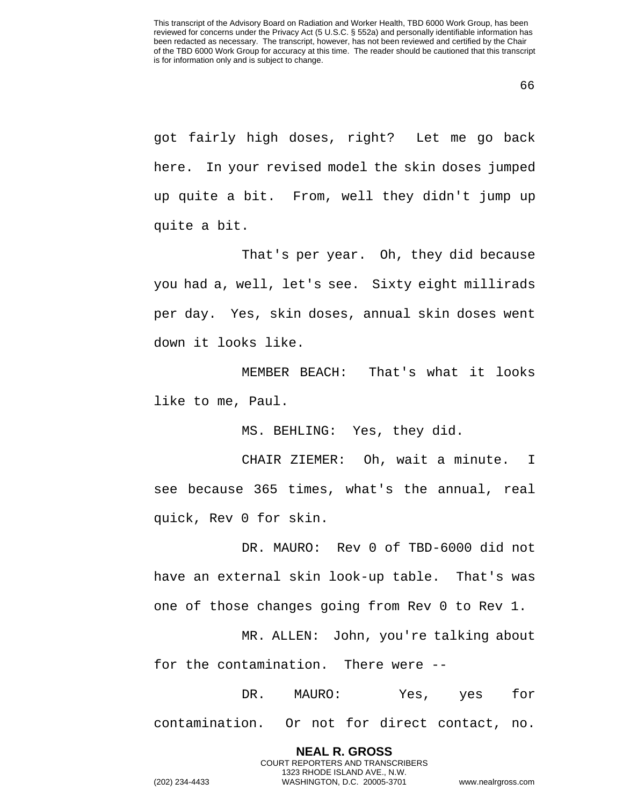got fairly high doses, right? Let me go back here. In your revised model the skin doses jumped up quite a bit. From, well they didn't jump up quite a bit.

That's per year. Oh, they did because you had a, well, let's see. Sixty eight millirads per day. Yes, skin doses, annual skin doses went down it looks like.

MEMBER BEACH: That's what it looks like to me, Paul.

MS. BEHLING: Yes, they did.

CHAIR ZIEMER: Oh, wait a minute. I see because 365 times, what's the annual, real quick, Rev 0 for skin.

DR. MAURO: Rev 0 of TBD-6000 did not have an external skin look-up table. That's was one of those changes going from Rev 0 to Rev 1.

MR. ALLEN: John, you're talking about for the contamination. There were --

DR. MAURO: Yes, yes for contamination. Or not for direct contact, no.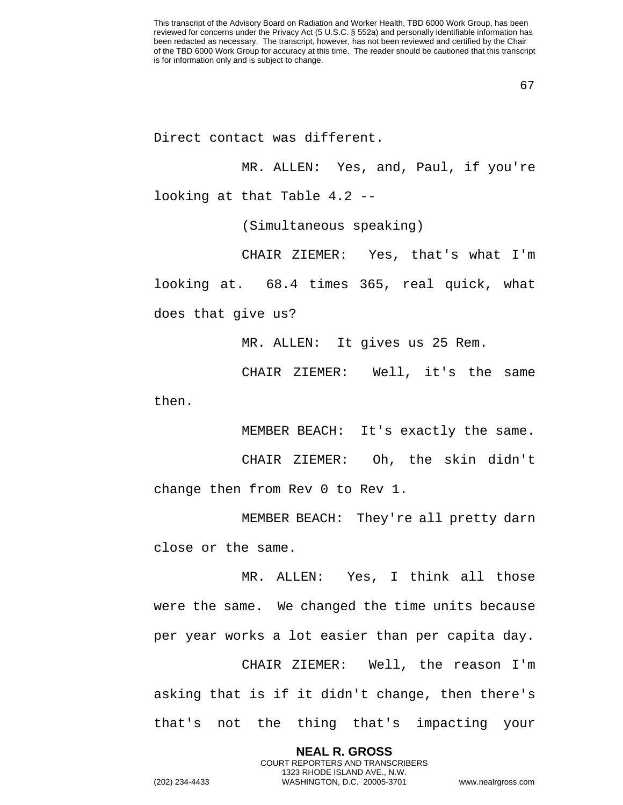Direct contact was different.

MR. ALLEN: Yes, and, Paul, if you're looking at that Table 4.2 --

(Simultaneous speaking)

CHAIR ZIEMER: Yes, that's what I'm looking at. 68.4 times 365, real quick, what does that give us?

MR. ALLEN: It gives us 25 Rem.

CHAIR ZIEMER: Well, it's the same then.

MEMBER BEACH: It's exactly the same.

CHAIR ZIEMER: Oh, the skin didn't change then from Rev 0 to Rev 1.

MEMBER BEACH: They're all pretty darn close or the same.

MR. ALLEN: Yes, I think all those were the same. We changed the time units because per year works a lot easier than per capita day.

CHAIR ZIEMER: Well, the reason I'm asking that is if it didn't change, then there's that's not the thing that's impacting your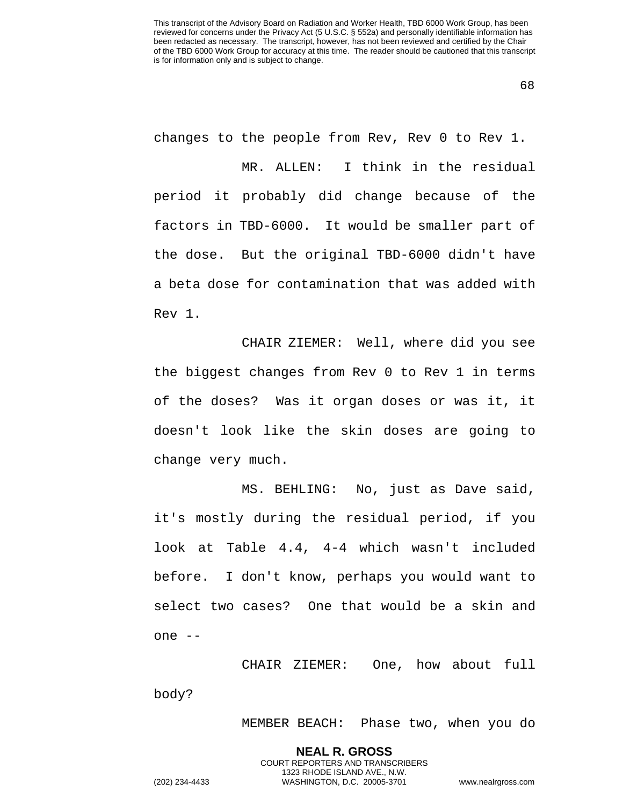changes to the people from Rev, Rev 0 to Rev 1.

MR. ALLEN: I think in the residual period it probably did change because of the factors in TBD-6000. It would be smaller part of the dose. But the original TBD-6000 didn't have a beta dose for contamination that was added with Rev 1.

CHAIR ZIEMER: Well, where did you see the biggest changes from Rev 0 to Rev 1 in terms of the doses? Was it organ doses or was it, it doesn't look like the skin doses are going to change very much.

MS. BEHLING: No, just as Dave said, it's mostly during the residual period, if you look at Table 4.4, 4-4 which wasn't included before. I don't know, perhaps you would want to select two cases? One that would be a skin and one --

CHAIR ZIEMER: One, how about full body?

> **NEAL R. GROSS** COURT REPORTERS AND TRANSCRIBERS 1323 RHODE ISLAND AVE., N.W.

MEMBER BEACH: Phase two, when you do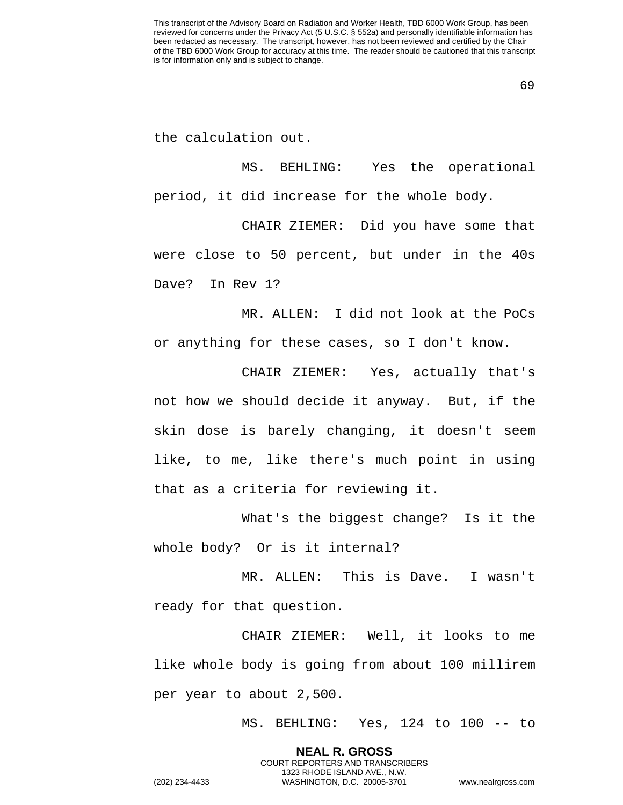the calculation out.

MS. BEHLING: Yes the operational period, it did increase for the whole body.

CHAIR ZIEMER: Did you have some that were close to 50 percent, but under in the 40s Dave? In Rev 1?

MR. ALLEN: I did not look at the PoCs or anything for these cases, so I don't know.

CHAIR ZIEMER: Yes, actually that's not how we should decide it anyway. But, if the skin dose is barely changing, it doesn't seem like, to me, like there's much point in using that as a criteria for reviewing it.

What's the biggest change? Is it the whole body? Or is it internal?

MR. ALLEN: This is Dave. I wasn't ready for that question.

CHAIR ZIEMER: Well, it looks to me like whole body is going from about 100 millirem per year to about 2,500.

MS. BEHLING: Yes, 124 to 100 -- to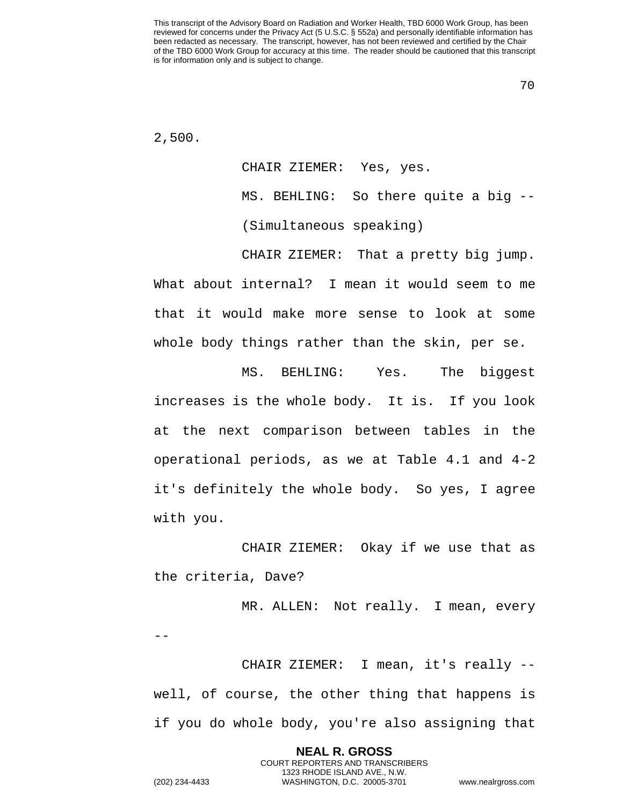70

2,500.

CHAIR ZIEMER: Yes, yes. MS. BEHLING: So there quite a big -- (Simultaneous speaking)

CHAIR ZIEMER: That a pretty big jump. What about internal? I mean it would seem to me that it would make more sense to look at some whole body things rather than the skin, per se.

MS. BEHLING: Yes. The biggest increases is the whole body. It is. If you look at the next comparison between tables in the operational periods, as we at Table 4.1 and 4-2 it's definitely the whole body. So yes, I agree with you.

CHAIR ZIEMER: Okay if we use that as the criteria, Dave?

MR. ALLEN: Not really. I mean, every

CHAIR ZIEMER: I mean, it's really - well, of course, the other thing that happens is if you do whole body, you're also assigning that

> **NEAL R. GROSS** COURT REPORTERS AND TRANSCRIBERS 1323 RHODE ISLAND AVE., N.W.

 $-1$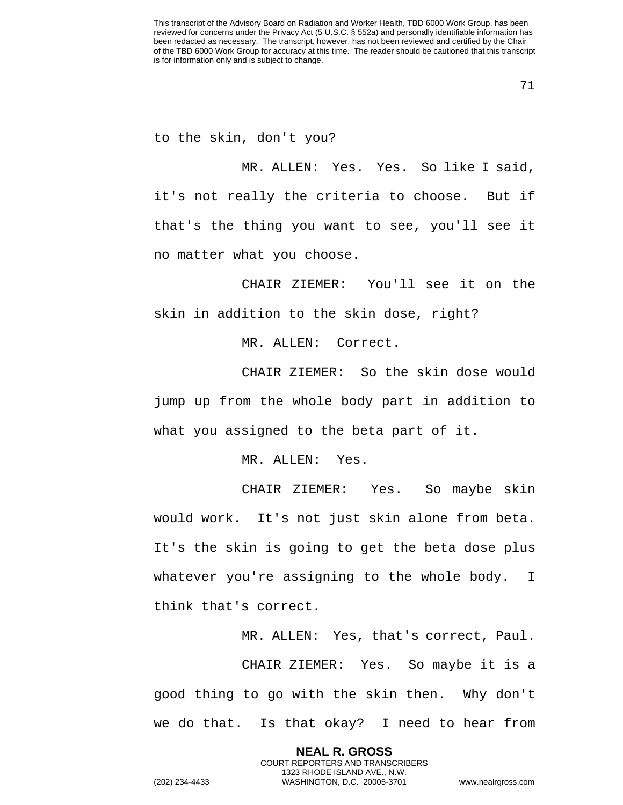to the skin, don't you?

MR. ALLEN: Yes. Yes. So like I said, it's not really the criteria to choose. But if that's the thing you want to see, you'll see it no matter what you choose.

CHAIR ZIEMER: You'll see it on the skin in addition to the skin dose, right?

MR. ALLEN: Correct.

CHAIR ZIEMER: So the skin dose would jump up from the whole body part in addition to what you assigned to the beta part of it.

MR. ALLEN: Yes.

CHAIR ZIEMER: Yes. So maybe skin would work. It's not just skin alone from beta. It's the skin is going to get the beta dose plus whatever you're assigning to the whole body. I think that's correct.

MR. ALLEN: Yes, that's correct, Paul.

CHAIR ZIEMER: Yes. So maybe it is a good thing to go with the skin then. Why don't we do that. Is that okay? I need to hear from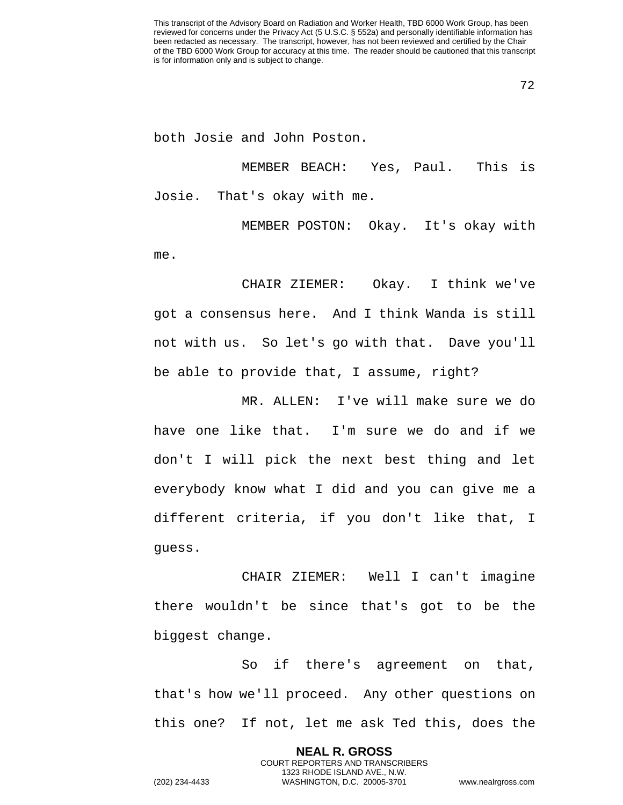both Josie and John Poston.

MEMBER BEACH: Yes, Paul. This is Josie. That's okay with me.

MEMBER POSTON: Okay. It's okay with me.

CHAIR ZIEMER: Okay. I think we've got a consensus here. And I think Wanda is still not with us. So let's go with that. Dave you'll be able to provide that, I assume, right?

MR. ALLEN: I've will make sure we do have one like that. I'm sure we do and if we don't I will pick the next best thing and let everybody know what I did and you can give me a different criteria, if you don't like that, I guess.

CHAIR ZIEMER: Well I can't imagine there wouldn't be since that's got to be the biggest change.

So if there's agreement on that, that's how we'll proceed. Any other questions on this one? If not, let me ask Ted this, does the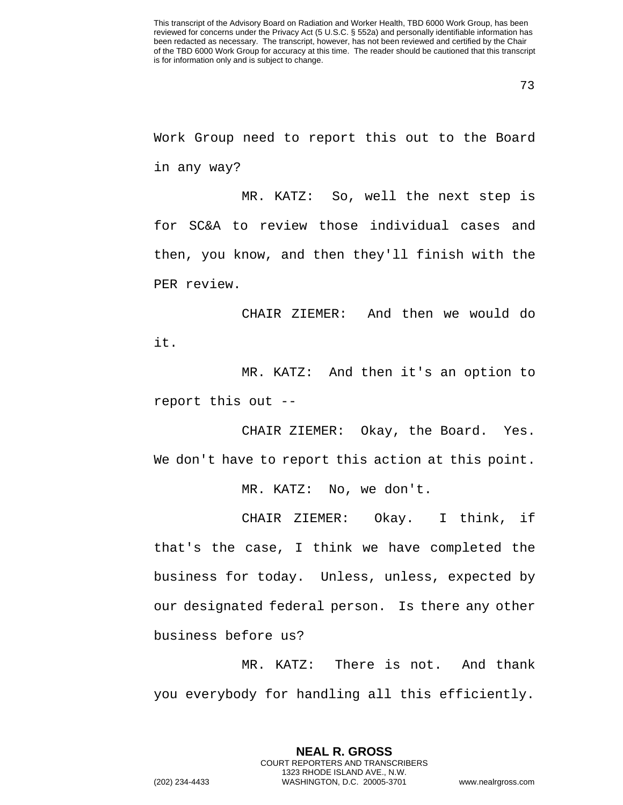This transcript of the Advisory Board on Radiation and Worker Health, TBD 6000 Work Group, has been reviewed for concerns under the Privacy Act (5 U.S.C. § 552a) and personally identifiable information has been redacted as necessary. The transcript, however, has not been reviewed and certified by the Chair of the TBD 6000 Work Group for accuracy at this time. The reader should be cautioned that this transcript is for information only and is subject to change.

Work Group need to report this out to the Board in any way?

MR. KATZ: So, well the next step is for SC&A to review those individual cases and then, you know, and then they'll finish with the PER review.

CHAIR ZIEMER: And then we would do it.

MR. KATZ: And then it's an option to report this out --

CHAIR ZIEMER: Okay, the Board. Yes. We don't have to report this action at this point.

MR. KATZ: No, we don't.

CHAIR ZIEMER: Okay. I think, if that's the case, I think we have completed the business for today. Unless, unless, expected by our designated federal person. Is there any other business before us?

MR. KATZ: There is not. And thank you everybody for handling all this efficiently.